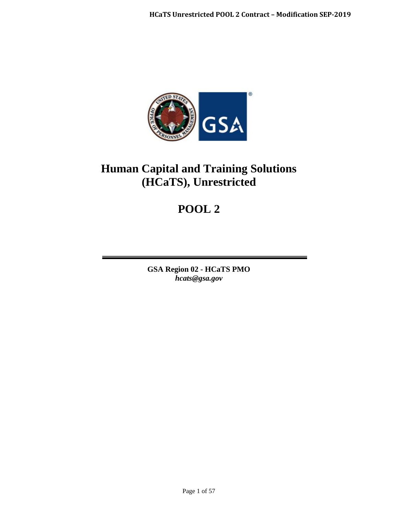

# **Human Capital and Training Solutions (HCaTS), Unrestricted**

# **POOL 2**

**GSA Region 02 - HCaTS PMO** *hcats@gsa.gov*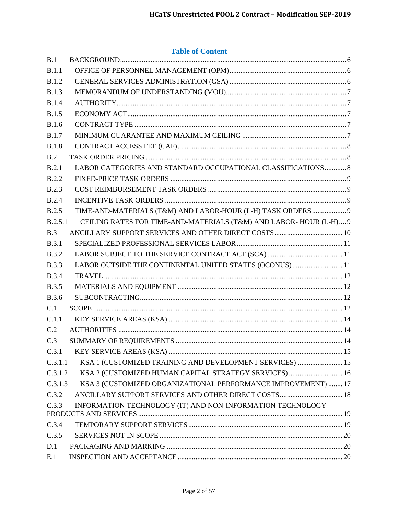# **Table of Content**

| B.1          |                                                                   |  |
|--------------|-------------------------------------------------------------------|--|
| B.1.1        |                                                                   |  |
| B.1.2        |                                                                   |  |
| B.1.3        |                                                                   |  |
| <b>B.1.4</b> |                                                                   |  |
| <b>B.1.5</b> |                                                                   |  |
| <b>B.1.6</b> |                                                                   |  |
| <b>B.1.7</b> |                                                                   |  |
| <b>B.1.8</b> |                                                                   |  |
| B.2          |                                                                   |  |
| B.2.1        | LABOR CATEGORIES AND STANDARD OCCUPATIONAL CLASSIFICATIONS  8     |  |
| B.2.2        |                                                                   |  |
| <b>B.2.3</b> |                                                                   |  |
| <b>B.2.4</b> |                                                                   |  |
| B.2.5        | TIME-AND-MATERIALS (T&M) AND LABOR-HOUR (L-H) TASK ORDERS  9      |  |
| B.2.5.1      | CEILING RATES FOR TIME-AND-MATERIALS (T&M) AND LABOR-HOUR (L-H) 9 |  |
| B.3          |                                                                   |  |
| <b>B.3.1</b> |                                                                   |  |
| <b>B.3.2</b> |                                                                   |  |
| <b>B.3.3</b> | LABOR OUTSIDE THE CONTINENTAL UNITED STATES (OCONUS)11            |  |
| <b>B.3.4</b> |                                                                   |  |
| <b>B.3.5</b> |                                                                   |  |
| <b>B.3.6</b> |                                                                   |  |
| C.1          |                                                                   |  |
| C.1.1        |                                                                   |  |
| C.2          |                                                                   |  |
| C.3          |                                                                   |  |
| C.3.1        |                                                                   |  |
| C.3.1.1      | KSA 1 (CUSTOMIZED TRAINING AND DEVELOPMENT SERVICES)  15          |  |
| C.3.1.2      | KSA 2 (CUSTOMIZED HUMAN CAPITAL STRATEGY SERVICES)  16            |  |
| C.3.1.3      | KSA 3 (CUSTOMIZED ORGANIZATIONAL PERFORMANCE IMPROVEMENT)  17     |  |
| C.3.2        | ANCILLARY SUPPORT SERVICES AND OTHER DIRECT COSTS 18              |  |
| C.3.3        | INFORMATION TECHNOLOGY (IT) AND NON-INFORMATION TECHNOLOGY        |  |
| C.3.4        |                                                                   |  |
| C.3.5        |                                                                   |  |
| D.1          |                                                                   |  |
| E.1          |                                                                   |  |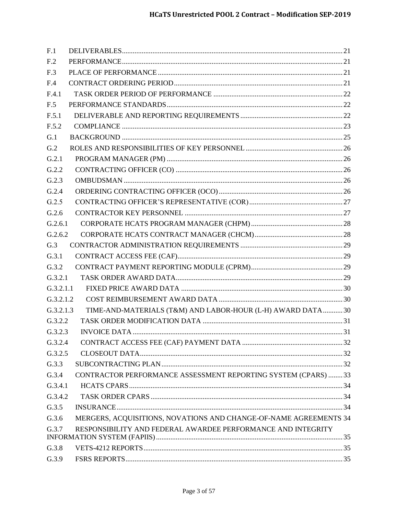| F.1             |                                                                   |  |
|-----------------|-------------------------------------------------------------------|--|
| F <sub>.2</sub> |                                                                   |  |
| F <sub>.3</sub> |                                                                   |  |
| F.4             |                                                                   |  |
| F.4.1           |                                                                   |  |
| F.5             |                                                                   |  |
| F.5.1           |                                                                   |  |
| F.5.2           |                                                                   |  |
| G.1             |                                                                   |  |
| G.2             |                                                                   |  |
| G.2.1           |                                                                   |  |
| G.2.2           |                                                                   |  |
| G.2.3           |                                                                   |  |
| G.2.4           |                                                                   |  |
| G.2.5           |                                                                   |  |
| G.2.6           |                                                                   |  |
| G.2.6.1         |                                                                   |  |
| G.2.6.2         |                                                                   |  |
| G.3             |                                                                   |  |
| G.3.1           |                                                                   |  |
| G.3.2           |                                                                   |  |
| G.3.2.1         |                                                                   |  |
| G.3.2.1.1       |                                                                   |  |
| G.3.2.1.2       |                                                                   |  |
| G.3.2.1.3       | TIME-AND-MATERIALS (T&M) AND LABOR-HOUR (L-H) AWARD DATA30        |  |
| G.3.2.2         |                                                                   |  |
| G.3.2.3         |                                                                   |  |
| G.3.2.4         |                                                                   |  |
| G.3.2.5         |                                                                   |  |
| G.3.3           |                                                                   |  |
| G.3.4           | CONTRACTOR PERFORMANCE ASSESSMENT REPORTING SYSTEM (CPARS)  33    |  |
| G.3.4.1         |                                                                   |  |
| G.3.4.2         |                                                                   |  |
| G.3.5           |                                                                   |  |
| G.3.6           | MERGERS, ACQUISITIONS, NOVATIONS AND CHANGE-OF-NAME AGREEMENTS 34 |  |
| G.3.7           | RESPONSIBILITY AND FEDERAL AWARDEE PERFORMANCE AND INTEGRITY      |  |
|                 |                                                                   |  |
| G.3.8           |                                                                   |  |
| G.3.9           |                                                                   |  |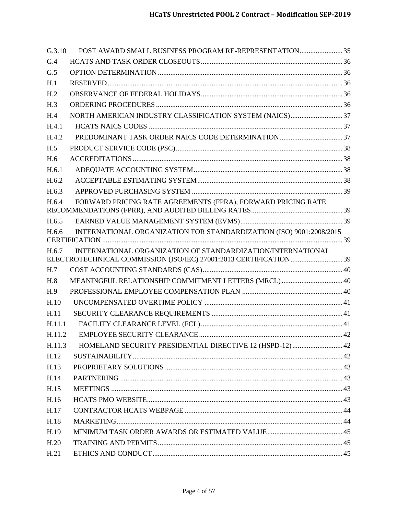| G.3.10          | POST AWARD SMALL BUSINESS PROGRAM RE-REPRESENTATION35               |  |
|-----------------|---------------------------------------------------------------------|--|
| G.4             |                                                                     |  |
| G.5             |                                                                     |  |
| H.1             |                                                                     |  |
| H <sub>.2</sub> |                                                                     |  |
| H.3             |                                                                     |  |
| H.4             |                                                                     |  |
| H.4.1           |                                                                     |  |
| H.4.2           |                                                                     |  |
| H.5             |                                                                     |  |
| H.6             |                                                                     |  |
| H.6.1           |                                                                     |  |
| H.6.2           |                                                                     |  |
| H.6.3           |                                                                     |  |
| H.6.4           | FORWARD PRICING RATE AGREEMENTS (FPRA), FORWARD PRICING RATE        |  |
|                 |                                                                     |  |
| H.6.5           |                                                                     |  |
| H.6.6           | INTERNATIONAL ORGANIZATION FOR STANDARDIZATION (ISO) 9001:2008/2015 |  |
| H.6.7           | INTERNATIONAL ORGANIZATION OF STANDARDIZATION/INTERNATIONAL         |  |
|                 |                                                                     |  |
| H.7             |                                                                     |  |
| H.8             | MEANINGFUL RELATIONSHIP COMMITMENT LETTERS (MRCL)  40               |  |
| H.9             |                                                                     |  |
| H.10            |                                                                     |  |
| H.11            |                                                                     |  |
| H.11.1          |                                                                     |  |
| H.11.2          |                                                                     |  |
| H.11.3          | HOMELAND SECURITY PRESIDENTIAL DIRECTIVE 12 (HSPD-12)  42           |  |
| H.12            |                                                                     |  |
| H.13            |                                                                     |  |
| H.14            |                                                                     |  |
| H.15            |                                                                     |  |
| H.16            |                                                                     |  |
| H.17            |                                                                     |  |
| H.18            |                                                                     |  |
| H.19            |                                                                     |  |
| H.20            |                                                                     |  |
| H.21            |                                                                     |  |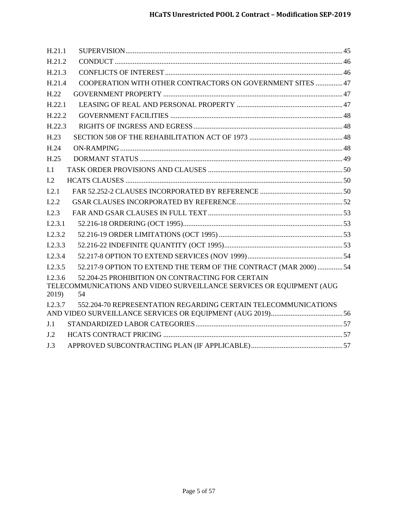| H.21.1           |                                                                                                                                |  |
|------------------|--------------------------------------------------------------------------------------------------------------------------------|--|
| H.21.2           |                                                                                                                                |  |
| H.21.3           |                                                                                                                                |  |
| H.21.4           | COOPERATION WITH OTHER CONTRACTORS ON GOVERNMENT SITES  47                                                                     |  |
| H.22             |                                                                                                                                |  |
| $H$ 22.1         |                                                                                                                                |  |
| H.22.2           |                                                                                                                                |  |
| H.22.3           |                                                                                                                                |  |
| H.23             |                                                                                                                                |  |
| H.24             |                                                                                                                                |  |
| H.25             |                                                                                                                                |  |
| I.1              |                                                                                                                                |  |
| I.2              |                                                                                                                                |  |
| I.2.1            |                                                                                                                                |  |
| I.2.2            |                                                                                                                                |  |
| I.2.3            |                                                                                                                                |  |
| I.2.3.1          |                                                                                                                                |  |
| I.2.3.2          |                                                                                                                                |  |
| I.2.3.3          |                                                                                                                                |  |
| I.2.3.4          |                                                                                                                                |  |
| I.2.3.5          | 52.217-9 OPTION TO EXTEND THE TERM OF THE CONTRACT (MAR 2000)  54                                                              |  |
| I.2.3.6<br>2019) | 52.204-25 PROHIBITION ON CONTRACTING FOR CERTAIN<br>TELECOMMUNICATIONS AND VIDEO SURVEILLANCE SERVICES OR EQUIPMENT (AUG<br>54 |  |
| I.2.3.7          | 552.204-70 REPRESENTATION REGARDING CERTAIN TELECOMMUNICATIONS                                                                 |  |
|                  |                                                                                                                                |  |
| J.1              |                                                                                                                                |  |
| J.2              |                                                                                                                                |  |
| J.3              |                                                                                                                                |  |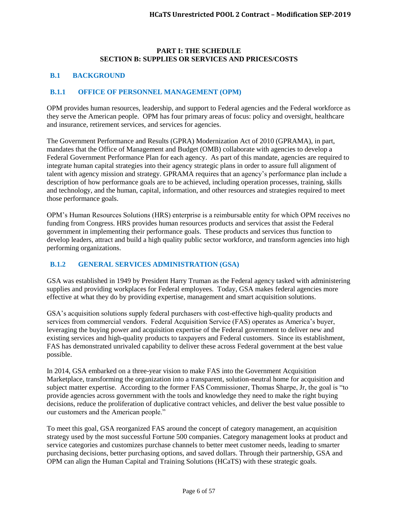#### **PART I: THE SCHEDULE SECTION B: SUPPLIES OR SERVICES AND PRICES/COSTS**

#### <span id="page-5-0"></span>**B.1 BACKGROUND**

#### <span id="page-5-1"></span>**B.1.1 OFFICE OF PERSONNEL MANAGEMENT (OPM)**

OPM provides human resources, leadership, and support to Federal agencies and the Federal workforce as they serve the American people. OPM has four primary areas of focus: policy and oversight, healthcare and insurance, retirement services, and services for agencies.

The Government Performance and Results (GPRA) Modernization Act of 2010 (GPRAMA), in part, mandates that the Office of Management and Budget (OMB) collaborate with agencies to develop a Federal Government Performance Plan for each agency. As part of this mandate, agencies are required to integrate human capital strategies into their agency strategic plans in order to assure full alignment of talent with agency mission and strategy. GPRAMA requires that an agency's performance plan include a description of how performance goals are to be achieved, including operation processes, training, skills and technology, and the human, capital, information, and other resources and strategies required to meet those performance goals.

OPM's Human Resources Solutions (HRS) enterprise is a reimbursable entity for which OPM receives no funding from Congress. HRS provides human resources products and services that assist the Federal government in implementing their performance goals. These products and services thus function to develop leaders, attract and build a high quality public sector workforce, and transform agencies into high performing organizations.

## <span id="page-5-2"></span>**B.1.2 GENERAL SERVICES ADMINISTRATION (GSA)**

GSA was established in 1949 by President Harry Truman as the Federal agency tasked with administering supplies and providing workplaces for Federal employees. Today, GSA makes federal agencies more effective at what they do by providing expertise, management and smart acquisition solutions.

GSA's acquisition solutions supply federal purchasers with cost-effective high-quality products and services from commercial vendors. Federal Acquisition Service (FAS) operates as America's buyer, leveraging the buying power and acquisition expertise of the Federal government to deliver new and existing services and high-quality products to taxpayers and Federal customers. Since its establishment, FAS has demonstrated unrivaled capability to deliver these across Federal government at the best value possible.

In 2014, GSA embarked on a three-year vision to make FAS into the Government Acquisition Marketplace, transforming the organization into a transparent, solution-neutral home for acquisition and subject matter expertise. According to the former FAS Commissioner, Thomas Sharpe, Jr, the goal is "to provide agencies across government with the tools and knowledge they need to make the right buying decisions, reduce the proliferation of duplicative contract vehicles, and deliver the best value possible to our customers and the American people."

To meet this goal, GSA reorganized FAS around the concept of category management, an acquisition strategy used by the most successful Fortune 500 companies. Category management looks at product and service categories and customizes purchase channels to better meet customer needs, leading to smarter purchasing decisions, better purchasing options, and saved dollars. Through their partnership, GSA and OPM can align the Human Capital and Training Solutions (HCaTS) with these strategic goals.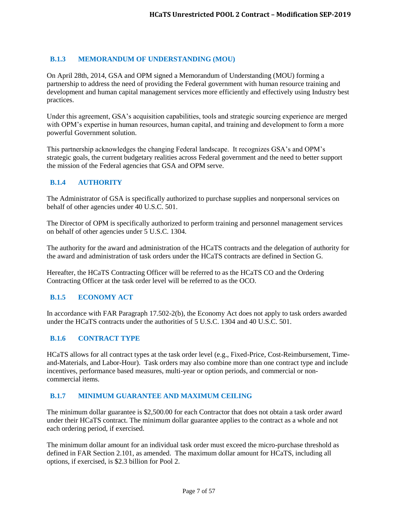# <span id="page-6-0"></span>**B.1.3 MEMORANDUM OF UNDERSTANDING (MOU)**

On April 28th, 2014, GSA and OPM signed a Memorandum of Understanding (MOU) forming a partnership to address the need of providing the Federal government with human resource training and development and human capital management services more efficiently and effectively using Industry best practices.

Under this agreement, GSA's acquisition capabilities, tools and strategic sourcing experience are merged with OPM's expertise in human resources, human capital, and training and development to form a more powerful Government solution.

This partnership acknowledges the changing Federal landscape. It recognizes GSA's and OPM's strategic goals, the current budgetary realities across Federal government and the need to better support the mission of the Federal agencies that GSA and OPM serve.

#### <span id="page-6-1"></span>**B.1.4 AUTHORITY**

The Administrator of GSA is specifically authorized to purchase supplies and nonpersonal services on behalf of other agencies under 40 U.S.C. 501.

The Director of OPM is specifically authorized to perform training and personnel management services on behalf of other agencies under 5 U.S.C. 1304.

The authority for the award and administration of the HCaTS contracts and the delegation of authority for the award and administration of task orders under the HCaTS contracts are defined in Section G.

Hereafter, the HCaTS Contracting Officer will be referred to as the HCaTS CO and the Ordering Contracting Officer at the task order level will be referred to as the OCO.

#### <span id="page-6-2"></span>**B.1.5 ECONOMY ACT**

In accordance with FAR Paragraph 17.502-2(b), the Economy Act does not apply to task orders awarded under the HCaTS contracts under the authorities of 5 U.S.C. 1304 and 40 U.S.C. 501.

#### <span id="page-6-3"></span>**B.1.6 CONTRACT TYPE**

HCaTS allows for all contract types at the task order level (e.g., Fixed-Price, Cost-Reimbursement, Timeand-Materials, and Labor-Hour). Task orders may also combine more than one contract type and include incentives, performance based measures, multi-year or option periods, and commercial or noncommercial items.

#### <span id="page-6-4"></span>**B.1.7 MINIMUM GUARANTEE AND MAXIMUM CEILING**

The minimum dollar guarantee is \$2,500.00 for each Contractor that does not obtain a task order award under their HCaTS contract. The minimum dollar guarantee applies to the contract as a whole and not each ordering period, if exercised.

The minimum dollar amount for an individual task order must exceed the micro-purchase threshold as defined in FAR Section 2.101, as amended. The maximum dollar amount for HCaTS, including all options, if exercised, is \$2.3 billion for Pool 2.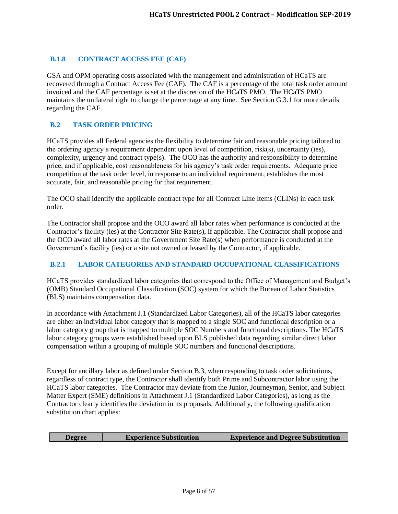# <span id="page-7-0"></span>**B.1.8 CONTRACT ACCESS FEE (CAF)**

GSA and OPM operating costs associated with the management and administration of HCaTS are recovered through a Contract Access Fee (CAF). The CAF is a percentage of the total task order amount invoiced and the CAF percentage is set at the discretion of the HCaTS PMO. The HCaTS PMO maintains the unilateral right to change the percentage at any time. See Section G.3.1 for more details regarding the CAF.

## <span id="page-7-1"></span>**B.2 TASK ORDER PRICING**

HCaTS provides all Federal agencies the flexibility to determine fair and reasonable pricing tailored to the ordering agency's requirement dependent upon level of competition, risk(s), uncertainty (ies), complexity, urgency and contract type(s). The OCO has the authority and responsibility to determine price, and if applicable, cost reasonableness for his agency's task order requirements. Adequate price competition at the task order level, in response to an individual requirement, establishes the most accurate, fair, and reasonable pricing for that requirement.

The OCO shall identify the applicable contract type for all Contract Line Items (CLINs) in each task order.

The Contractor shall propose and the OCO award all labor rates when performance is conducted at the Contractor's facility (ies) at the Contractor Site Rate(s), if applicable. The Contractor shall propose and the OCO award all labor rates at the Government Site Rate(s) when performance is conducted at the Government's facility (ies) or a site not owned or leased by the Contractor, if applicable.

## <span id="page-7-2"></span>**B.2.1 LABOR CATEGORIES AND STANDARD OCCUPATIONAL CLASSIFICATIONS**

HCaTS provides standardized labor categories that correspond to the Office of Management and Budget's (OMB) Standard Occupational Classification (SOC) system for which the Bureau of Labor Statistics (BLS) maintains compensation data.

In accordance with Attachment J.1 (Standardized Labor Categories), all of the HCaTS labor categories are either an individual labor category that is mapped to a single SOC and functional description or a labor category group that is mapped to multiple SOC Numbers and functional descriptions. The HCaTS labor category groups were established based upon BLS published data regarding similar direct labor compensation within a grouping of multiple SOC numbers and functional descriptions.

Except for ancillary labor as defined under Section B.3, when responding to task order solicitations, regardless of contract type, the Contractor shall identify both Prime and Subcontractor labor using the HCaTS labor categories. The Contractor may deviate from the Junior, Journeyman, Senior, and Subject Matter Expert (SME) definitions in Attachment J.1 (Standardized Labor Categories), as long as the Contractor clearly identifies the deviation in its proposals. Additionally, the following qualification substitution chart applies:

| <b>Experience Substitution</b><br><b>Degree</b> | <b>Experience and Degree Substitution</b> |
|-------------------------------------------------|-------------------------------------------|
|-------------------------------------------------|-------------------------------------------|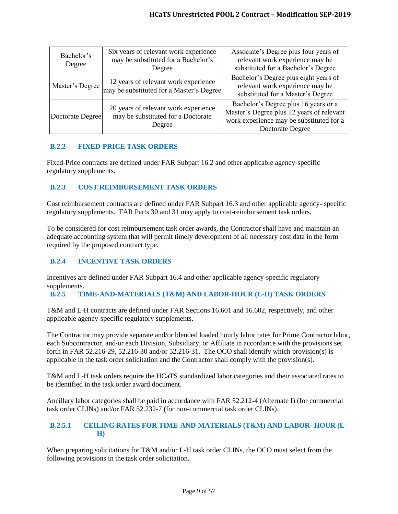| Bachelor's<br>Degree | Six years of relevant work experience<br>may be substituted for a Bachelor's<br>Degree | Associate's Degree plus four years of<br>relevant work experience may be<br>substituted for a Bachelor's Degree                                   |  |
|----------------------|----------------------------------------------------------------------------------------|---------------------------------------------------------------------------------------------------------------------------------------------------|--|
| Master's Degree      | 12 years of relevant work experience<br>may be substituted for a Master's Degree       | Bachelor's Degree plus eight years of<br>relevant work experience may be<br>substituted for a Master's Degree                                     |  |
| Doctorate Degree     | 20 years of relevant work experience<br>may be substituted for a Doctorate<br>Degree   | Bachelor's Degree plus 16 years or a<br>Master's Degree plus 12 years of relevant<br>work experience may be substituted for a<br>Doctorate Degree |  |

# <span id="page-8-0"></span>**B.2.2 FIXED-PRICE TASK ORDERS**

Fixed-Price contracts are defined under FAR Subpart 16.2 and other applicable agency-specific regulatory supplements.

# <span id="page-8-1"></span>**B.2.3 COST REIMBURSEMENT TASK ORDERS**

Cost reimbursement contracts are defined under FAR Subpart 16.3 and other applicable agency- specific regulatory supplements. FAR Parts 30 and 31 may apply to cost-reimbursement task orders.

To be considered for cost reimbursement task order awards, the Contractor shall have and maintain an adequate accounting system that will permit timely development of all necessary cost data in the form required by the proposed contract type.

# <span id="page-8-2"></span>**B.2.4 INCENTIVE TASK ORDERS**

Incentives are defined under FAR Subpart 16.4 and other applicable agency-specific regulatory supplements.

## <span id="page-8-3"></span>**B.2.5 TIME-AND-MATERIALS (T&M) AND LABOR-HOUR (L-H) TASK ORDERS**

T&M and L-H contracts are defined under FAR Sections 16.601 and 16.602, respectively, and other applicable agency-specific regulatory supplements.

The Contractor may provide separate and/or blended loaded hourly labor rates for Prime Contractor labor, each Subcontractor, and/or each Division, Subsidiary, or Affiliate in accordance with the provisions set forth in FAR 52.216-29, 52.216-30 and/or 52.216-31. The OCO shall identify which provision(s) is applicable in the task order solicitation and the Contractor shall comply with the provision(s).

T&M and L-H task orders require the HCaTS standardized labor categories and their associated rates to be identified in the task order award document.

Ancillary labor categories shall be paid in accordance with FAR 52.212-4 (Alternate I) (for commercial task order CLINs) and/or FAR 52.232-7 (for non-commercial task order CLINs).

#### <span id="page-8-4"></span>**B.2.5.1 CEILING RATES FOR TIME-AND-MATERIALS (T&M) AND LABOR- HOUR (L-H)**

When preparing solicitations for T&M and/or L-H task order CLINs, the OCO must select from the following provisions in the task order solicitation.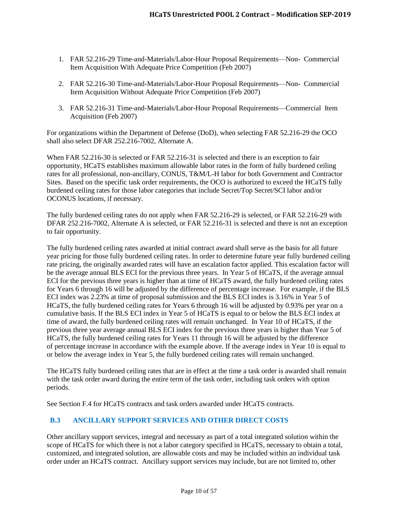- 1. FAR 52.216-29 Time-and-Materials/Labor-Hour Proposal Requirements—Non- Commercial Item Acquisition With Adequate Price Competition (Feb 2007)
- 2. FAR 52.216-30 Time-and-Materials/Labor-Hour Proposal Requirements—Non- Commercial Item Acquisition Without Adequate Price Competition (Feb 2007)
- 3. FAR 52.216-31 Time-and-Materials/Labor-Hour Proposal Requirements—Commercial Item Acquisition (Feb 2007)

For organizations within the Department of Defense (DoD), when selecting FAR 52.216-29 the OCO shall also select DFAR 252.216-7002, Alternate A.

When FAR 52.216-30 is selected or FAR 52.216-31 is selected and there is an exception to fair opportunity, HCaTS establishes maximum allowable labor rates in the form of fully burdened ceiling rates for all professional, non-ancillary, CONUS, T&M/L-H labor for both Government and Contractor Sites. Based on the specific task order requirements, the OCO is authorized to exceed the HCaTS fully burdened ceiling rates for those labor categories that include Secret/Top Secret/SCI labor and/or OCONUS locations, if necessary.

The fully burdened ceiling rates do not apply when FAR 52.216-29 is selected, or FAR 52.216-29 with DFAR 252.216-7002, Alternate A is selected, or FAR 52.216-31 is selected and there is not an exception to fair opportunity.

The fully burdened ceiling rates awarded at initial contract award shall serve as the basis for all future year pricing for those fully burdened ceiling rates. In order to determine future year fully burdened ceiling rate pricing, the originally awarded rates will have an escalation factor applied. This escalation factor will be the average annual BLS ECI for the previous three years. In Year 5 of HCaTS, if the average annual ECI for the previous three years is higher than at time of HCaTS award, the fully burdened ceiling rates for Years 6 through 16 will be adjusted by the difference of percentage increase. For example, if the BLS ECI index was 2.23% at time of proposal submission and the BLS ECI index is 3.16% in Year 5 of HCaTS, the fully burdened ceiling rates for Years 6 through 16 will be adjusted by 0.93% per year on a cumulative basis. If the BLS ECI index in Year 5 of HCaTS is equal to or below the BLS ECI index at time of award, the fully burdened ceiling rates will remain unchanged. In Year 10 of HCaTS, if the previous three year average annual BLS ECI index for the previous three years is higher than Year 5 of HCaTS, the fully burdened ceiling rates for Years 11 through 16 will be adjusted by the difference of percentage increase in accordance with the example above. If the average index in Year 10 is equal to or below the average index in Year 5, the fully burdened ceiling rates will remain unchanged.

The HCaTS fully burdened ceiling rates that are in effect at the time a task order is awarded shall remain with the task order award during the entire term of the task order, including task orders with option periods.

See Section F.4 for HCaTS contracts and task orders awarded under HCaTS contracts.

## <span id="page-9-0"></span>**B.3 ANCILLARY SUPPORT SERVICES AND OTHER DIRECT COSTS**

Other ancillary support services, integral and necessary as part of a total integrated solution within the scope of HCaTS for which there is not a labor category specified in HCaTS, necessary to obtain a total, customized, and integrated solution, are allowable costs and may be included within an individual task order under an HCaTS contract. Ancillary support services may include, but are not limited to, other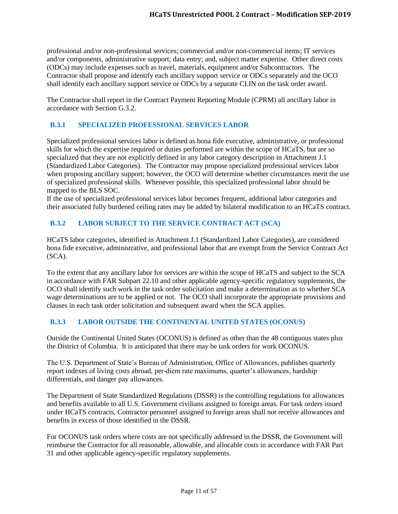professional and/or non-professional services; commercial and/or non-commercial items; IT services and/or components, administrative support; data entry; and, subject matter expertise. Other direct costs (ODCs) may include expenses such as travel, materials, equipment and/or Subcontractors. The Contractor shall propose and identify each ancillary support service or ODCs separately and the OCO shall identify each ancillary support service or ODCs by a separate CLIN on the task order award.

The Contractor shall report in the Contract Payment Reporting Module (CPRM) all ancillary labor in accordance with Section G.3.2.

# <span id="page-10-0"></span>**B.3.1 SPECIALIZED PROFESSIONAL SERVICES LABOR**

Specialized professional services labor is defined as bona fide executive, administrative, or professional skills for which the expertise required or duties performed are within the scope of HCaTS, but are so specialized that they are not explicitly defined in any labor category description in Attachment J.1 (Standardized Labor Categories). The Contractor may propose specialized professional services labor when proposing ancillary support; however, the OCO will determine whether circumstances merit the use of specialized professional skills. Whenever possible, this specialized professional labor should be mapped to the BLS SOC.

If the use of specialized professional services labor becomes frequent, additional labor categories and their associated fully burdened ceiling rates may be added by bilateral modification to an HCaTS contract.

## <span id="page-10-1"></span>**B.3.2 LABOR SUBJECT TO THE SERVICE CONTRACT ACT (SCA)**

HCaTS labor categories, identified in Attachment J.1 (Standardized Labor Categories), are considered bona fide executive, administrative, and professional labor that are exempt from the Service Contract Act (SCA).

To the extent that any ancillary labor for services are within the scope of HCaTS and subject to the SCA in accordance with FAR Subpart 22.10 and other applicable agency-specific regulatory supplements, the OCO shall identify such work in the task order solicitation and make a determination as to whether SCA wage determinations are to be applied or not. The OCO shall incorporate the appropriate provisions and clauses in each task order solicitation and subsequent award when the SCA applies.

## <span id="page-10-2"></span>**B.3.3 LABOR OUTSIDE THE CONTINENTAL UNITED STATES (OCONUS)**

Outside the Continental United States (OCONUS) is defined as other than the 48 contiguous states plus the District of Columbia. It is anticipated that there may be task orders for work OCONUS.

The U.S. Department of State's Bureau of Administration, Office of Allowances, publishes quarterly report indexes of living costs abroad, per-diem rate maximums, quarter's allowances, hardship differentials, and danger pay allowances.

The Department of State Standardized Regulations (DSSR) is the controlling regulations for allowances and benefits available to all U.S. Government civilians assigned to foreign areas. For task orders issued under HCaTS contracts, Contractor personnel assigned to foreign areas shall not receive allowances and benefits in excess of those identified in the DSSR.

For OCONUS task orders where costs are not specifically addressed in the DSSR, the Government will reimburse the Contractor for all reasonable, allowable, and allocable costs in accordance with FAR Part 31 and other applicable agency-specific regulatory supplements.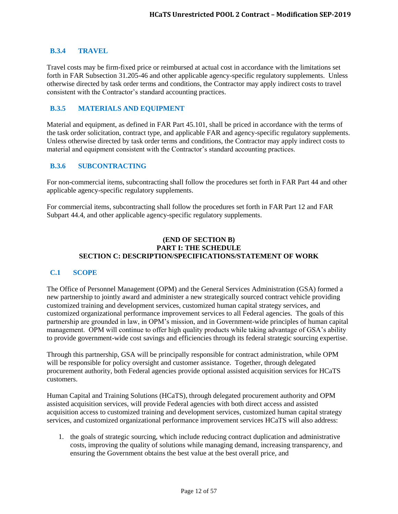#### <span id="page-11-0"></span>**B.3.4 TRAVEL**

Travel costs may be firm-fixed price or reimbursed at actual cost in accordance with the limitations set forth in FAR Subsection 31.205-46 and other applicable agency-specific regulatory supplements. Unless otherwise directed by task order terms and conditions, the Contractor may apply indirect costs to travel consistent with the Contractor's standard accounting practices.

### <span id="page-11-1"></span>**B.3.5 MATERIALS AND EQUIPMENT**

Material and equipment, as defined in FAR Part 45.101, shall be priced in accordance with the terms of the task order solicitation, contract type, and applicable FAR and agency-specific regulatory supplements. Unless otherwise directed by task order terms and conditions, the Contractor may apply indirect costs to material and equipment consistent with the Contractor's standard accounting practices.

#### <span id="page-11-2"></span>**B.3.6 SUBCONTRACTING**

For non-commercial items, subcontracting shall follow the procedures set forth in FAR Part 44 and other applicable agency-specific regulatory supplements.

For commercial items, subcontracting shall follow the procedures set forth in FAR Part 12 and FAR Subpart 44.4, and other applicable agency-specific regulatory supplements.

#### **(END OF SECTION B) PART I: THE SCHEDULE SECTION C: DESCRIPTION/SPECIFICATIONS/STATEMENT OF WORK**

#### <span id="page-11-3"></span>**C.1 SCOPE**

The Office of Personnel Management (OPM) and the General Services Administration (GSA) formed a new partnership to jointly award and administer a new strategically sourced contract vehicle providing customized training and development services, customized human capital strategy services, and customized organizational performance improvement services to all Federal agencies. The goals of this partnership are grounded in law, in OPM's mission, and in Government-wide principles of human capital management. OPM will continue to offer high quality products while taking advantage of GSA's ability to provide government-wide cost savings and efficiencies through its federal strategic sourcing expertise.

Through this partnership, GSA will be principally responsible for contract administration, while OPM will be responsible for policy oversight and customer assistance. Together, through delegated procurement authority, both Federal agencies provide optional assisted acquisition services for HCaTS customers.

Human Capital and Training Solutions (HCaTS), through delegated procurement authority and OPM assisted acquisition services, will provide Federal agencies with both direct access and assisted acquisition access to customized training and development services, customized human capital strategy services, and customized organizational performance improvement services HCaTS will also address:

1. the goals of strategic sourcing, which include reducing contract duplication and administrative costs, improving the quality of solutions while managing demand, increasing transparency, and ensuring the Government obtains the best value at the best overall price, and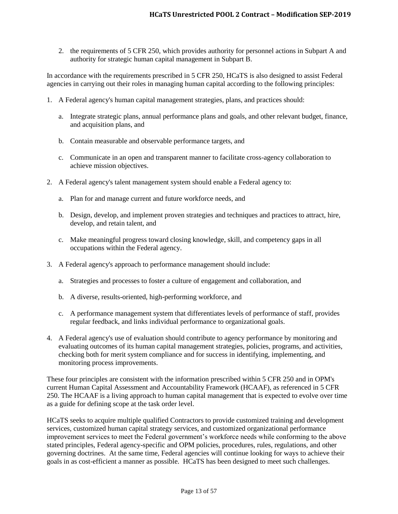2. the requirements of 5 CFR 250, which provides authority for personnel actions in Subpart A and authority for strategic human capital management in Subpart B.

In accordance with the requirements prescribed in 5 CFR 250, HCaTS is also designed to assist Federal agencies in carrying out their roles in managing human capital according to the following principles:

- 1. A Federal agency's human capital management strategies, plans, and practices should:
	- a. Integrate strategic plans, annual performance plans and goals, and other relevant budget, finance, and acquisition plans, and
	- b. Contain measurable and observable performance targets, and
	- c. Communicate in an open and transparent manner to facilitate cross-agency collaboration to achieve mission objectives.
- 2. A Federal agency's talent management system should enable a Federal agency to:
	- a. Plan for and manage current and future workforce needs, and
	- b. Design, develop, and implement proven strategies and techniques and practices to attract, hire, develop, and retain talent, and
	- c. Make meaningful progress toward closing knowledge, skill, and competency gaps in all occupations within the Federal agency.
- 3. A Federal agency's approach to performance management should include:
	- a. Strategies and processes to foster a culture of engagement and collaboration, and
	- b. A diverse, results-oriented, high-performing workforce, and
	- c. A performance management system that differentiates levels of performance of staff, provides regular feedback, and links individual performance to organizational goals.
- 4. A Federal agency's use of evaluation should contribute to agency performance by monitoring and evaluating outcomes of its human capital management strategies, policies, programs, and activities, checking both for merit system compliance and for success in identifying, implementing, and monitoring process improvements.

These four principles are consistent with the information prescribed within 5 CFR 250 and in OPM's current Human Capital Assessment and Accountability Framework (HCAAF), as referenced in 5 CFR 250. The HCAAF is a living approach to human capital management that is expected to evolve over time as a guide for defining scope at the task order level.

HCaTS seeks to acquire multiple qualified Contractors to provide customized training and development services, customized human capital strategy services, and customized organizational performance improvement services to meet the Federal government's workforce needs while conforming to the above stated principles, Federal agency-specific and OPM policies, procedures, rules, regulations, and other governing doctrines. At the same time, Federal agencies will continue looking for ways to achieve their goals in as cost-efficient a manner as possible. HCaTS has been designed to meet such challenges.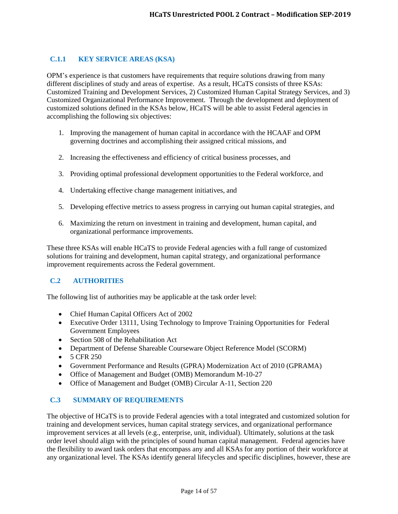# <span id="page-13-0"></span>**C.1.1 KEY SERVICE AREAS (KSA)**

OPM's experience is that customers have requirements that require solutions drawing from many different disciplines of study and areas of expertise. As a result, HCaTS consists of three KSAs: Customized Training and Development Services, 2) Customized Human Capital Strategy Services, and 3) Customized Organizational Performance Improvement. Through the development and deployment of customized solutions defined in the KSAs below, HCaTS will be able to assist Federal agencies in accomplishing the following six objectives:

- 1. Improving the management of human capital in accordance with the HCAAF and OPM governing doctrines and accomplishing their assigned critical missions, and
- 2. Increasing the effectiveness and efficiency of critical business processes, and
- 3. Providing optimal professional development opportunities to the Federal workforce, and
- 4. Undertaking effective change management initiatives, and
- 5. Developing effective metrics to assess progress in carrying out human capital strategies, and
- 6. Maximizing the return on investment in training and development, human capital, and organizational performance improvements.

These three KSAs will enable HCaTS to provide Federal agencies with a full range of customized solutions for training and development, human capital strategy, and organizational performance improvement requirements across the Federal government.

## <span id="page-13-1"></span>**C.2 AUTHORITIES**

The following list of authorities may be applicable at the task order level:

- Chief Human Capital Officers Act of 2002
- Executive Order 13111, Using Technology to Improve Training Opportunities for Federal Government Employees
- Section 508 of the Rehabilitation Act
- Department of Defense Shareable Courseware Object Reference Model (SCORM)
- $-5$  CFR 250
- Government Performance and Results (GPRA) Modernization Act of 2010 (GPRAMA)
- Office of Management and Budget (OMB) Memorandum M-10-27
- Office of Management and Budget (OMB) Circular A-11, Section 220

# <span id="page-13-2"></span>**C.3 SUMMARY OF REQUIREMENTS**

The objective of HCaTS is to provide Federal agencies with a total integrated and customized solution for training and development services, human capital strategy services, and organizational performance improvement services at all levels (e.g., enterprise, unit, individual). Ultimately, solutions at the task order level should align with the principles of sound human capital management. Federal agencies have the flexibility to award task orders that encompass any and all KSAs for any portion of their workforce at any organizational level. The KSAs identify general lifecycles and specific disciplines, however, these are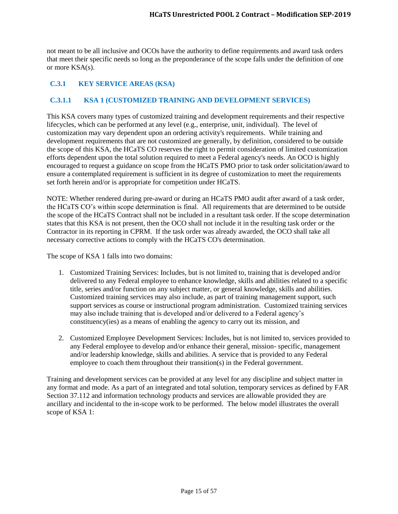not meant to be all inclusive and OCOs have the authority to define requirements and award task orders that meet their specific needs so long as the preponderance of the scope falls under the definition of one or more KSA(s).

# <span id="page-14-0"></span>**C.3.1 KEY SERVICE AREAS (KSA)**

## <span id="page-14-1"></span>**C.3.1.1 KSA 1 (CUSTOMIZED TRAINING AND DEVELOPMENT SERVICES)**

This KSA covers many types of customized training and development requirements and their respective lifecycles, which can be performed at any level (e.g., enterprise, unit, individual). The level of customization may vary dependent upon an ordering activity's requirements. While training and development requirements that are not customized are generally, by definition, considered to be outside the scope of this KSA, the HCaTS CO reserves the right to permit consideration of limited customization efforts dependent upon the total solution required to meet a Federal agency's needs. An OCO is highly encouraged to request a guidance on scope from the HCaTS PMO prior to task order solicitation/award to ensure a contemplated requirement is sufficient in its degree of customization to meet the requirements set forth herein and/or is appropriate for competition under HCaTS.

NOTE: Whether rendered during pre-award or during an HCaTS PMO audit after award of a task order, the HCaTS CO's within scope determination is final. All requirements that are determined to be outside the scope of the HCaTS Contract shall not be included in a resultant task order. If the scope determination states that this KSA is not present, then the OCO shall not include it in the resulting task order or the Contractor in its reporting in CPRM. If the task order was already awarded, the OCO shall take all necessary corrective actions to comply with the HCaTS CO's determination.

The scope of KSA 1 falls into two domains:

- 1. Customized Training Services: Includes, but is not limited to, training that is developed and/or delivered to any Federal employee to enhance knowledge, skills and abilities related to a specific title, series and/or function on any subject matter, or general knowledge, skills and abilities. Customized training services may also include, as part of training management support, such support services as course or instructional program administration. Customized training services may also include training that is developed and/or delivered to a Federal agency's constituency(ies) as a means of enabling the agency to carry out its mission, and
- 2. Customized Employee Development Services: Includes, but is not limited to, services provided to any Federal employee to develop and/or enhance their general, mission- specific, management and/or leadership knowledge, skills and abilities. A service that is provided to any Federal employee to coach them throughout their transition(s) in the Federal government.

Training and development services can be provided at any level for any discipline and subject matter in any format and mode. As a part of an integrated and total solution, temporary services as defined by FAR Section 37.112 and information technology products and services are allowable provided they are ancillary and incidental to the in-scope work to be performed. The below model illustrates the overall scope of KSA 1: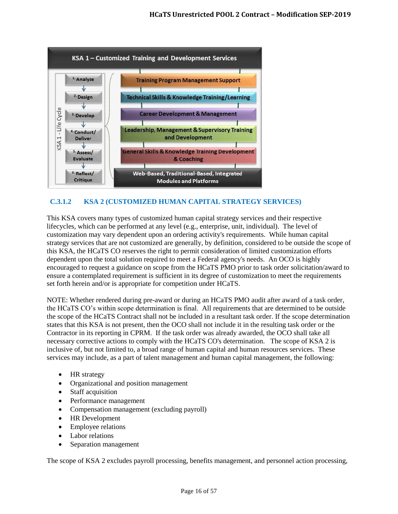

# <span id="page-15-0"></span>**C.3.1.2 KSA 2 (CUSTOMIZED HUMAN CAPITAL STRATEGY SERVICES)**

This KSA covers many types of customized human capital strategy services and their respective lifecycles, which can be performed at any level (e.g., enterprise, unit, individual). The level of customization may vary dependent upon an ordering activity's requirements. While human capital strategy services that are not customized are generally, by definition, considered to be outside the scope of this KSA, the HCaTS CO reserves the right to permit consideration of limited customization efforts dependent upon the total solution required to meet a Federal agency's needs. An OCO is highly encouraged to request a guidance on scope from the HCaTS PMO prior to task order solicitation/award to ensure a contemplated requirement is sufficient in its degree of customization to meet the requirements set forth herein and/or is appropriate for competition under HCaTS.

NOTE: Whether rendered during pre-award or during an HCaTS PMO audit after award of a task order, the HCaTS CO's within scope determination is final. All requirements that are determined to be outside the scope of the HCaTS Contract shall not be included in a resultant task order. If the scope determination states that this KSA is not present, then the OCO shall not include it in the resulting task order or the Contractor in its reporting in CPRM. If the task order was already awarded, the OCO shall take all necessary corrective actions to comply with the HCaTS CO's determination. The scope of KSA 2 is inclusive of, but not limited to, a broad range of human capital and human resources services. These services may include, as a part of talent management and human capital management, the following:

- HR strategy
- Organizational and position management
- Staff acquisition
- Performance management
- Compensation management (excluding payroll)
- HR Development
- Employee relations
- Labor relations
- Separation management

The scope of KSA 2 excludes payroll processing, benefits management, and personnel action processing,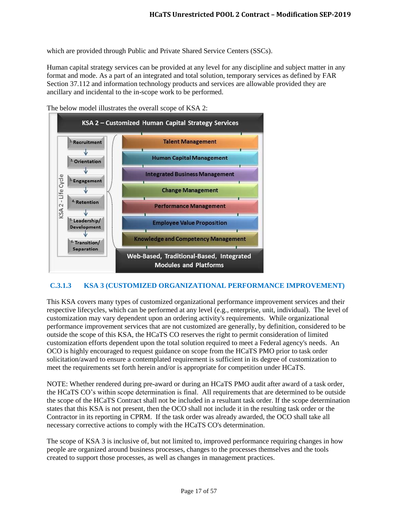which are provided through Public and Private Shared Service Centers (SSCs).

Human capital strategy services can be provided at any level for any discipline and subject matter in any format and mode. As a part of an integrated and total solution, temporary services as defined by FAR Section 37.112 and information technology products and services are allowable provided they are ancillary and incidental to the in-scope work to be performed.



The below model illustrates the overall scope of KSA 2:

## <span id="page-16-0"></span>**C.3.1.3 KSA 3 (CUSTOMIZED ORGANIZATIONAL PERFORMANCE IMPROVEMENT)**

This KSA covers many types of customized organizational performance improvement services and their respective lifecycles, which can be performed at any level (e.g., enterprise, unit, individual). The level of customization may vary dependent upon an ordering activity's requirements. While organizational performance improvement services that are not customized are generally, by definition, considered to be outside the scope of this KSA, the HCaTS CO reserves the right to permit consideration of limited customization efforts dependent upon the total solution required to meet a Federal agency's needs. An OCO is highly encouraged to request guidance on scope from the HCaTS PMO prior to task order solicitation/award to ensure a contemplated requirement is sufficient in its degree of customization to meet the requirements set forth herein and/or is appropriate for competition under HCaTS.

NOTE: Whether rendered during pre-award or during an HCaTS PMO audit after award of a task order, the HCaTS CO's within scope determination is final. All requirements that are determined to be outside the scope of the HCaTS Contract shall not be included in a resultant task order. If the scope determination states that this KSA is not present, then the OCO shall not include it in the resulting task order or the Contractor in its reporting in CPRM. If the task order was already awarded, the OCO shall take all necessary corrective actions to comply with the HCaTS CO's determination.

The scope of KSA 3 is inclusive of, but not limited to, improved performance requiring changes in how people are organized around business processes, changes to the processes themselves and the tools created to support those processes, as well as changes in management practices.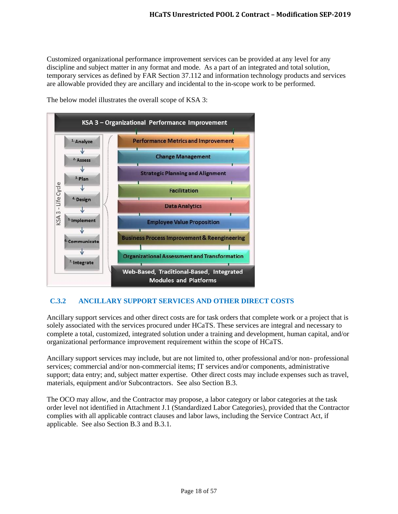Customized organizational performance improvement services can be provided at any level for any discipline and subject matter in any format and mode. As a part of an integrated and total solution, temporary services as defined by FAR Section 37.112 and information technology products and services are allowable provided they are ancillary and incidental to the in-scope work to be performed.



The below model illustrates the overall scope of KSA 3:

# <span id="page-17-0"></span>**C.3.2 ANCILLARY SUPPORT SERVICES AND OTHER DIRECT COSTS**

Ancillary support services and other direct costs are for task orders that complete work or a project that is solely associated with the services procured under HCaTS. These services are integral and necessary to complete a total, customized, integrated solution under a training and development, human capital, and/or organizational performance improvement requirement within the scope of HCaTS.

Ancillary support services may include, but are not limited to, other professional and/or non- professional services; commercial and/or non-commercial items; IT services and/or components, administrative support; data entry; and, subject matter expertise. Other direct costs may include expenses such as travel, materials, equipment and/or Subcontractors. See also Section B.3.

The OCO may allow, and the Contractor may propose, a labor category or labor categories at the task order level not identified in Attachment J.1 (Standardized Labor Categories), provided that the Contractor complies with all applicable contract clauses and labor laws, including the Service Contract Act, if applicable. See also Section B.3 and B.3.1.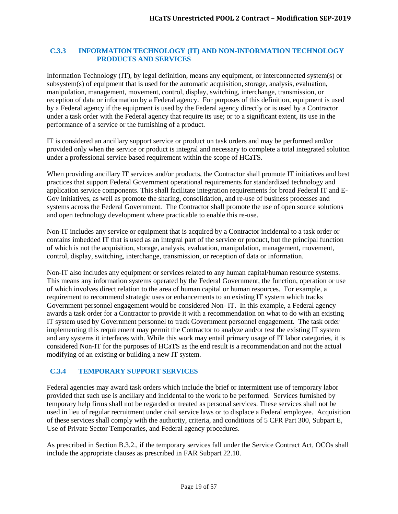#### <span id="page-18-0"></span>**C.3.3 INFORMATION TECHNOLOGY (IT) AND NON-INFORMATION TECHNOLOGY PRODUCTS AND SERVICES**

Information Technology (IT), by legal definition, means any equipment, or interconnected system(s) or subsystem(s) of equipment that is used for the automatic acquisition, storage, analysis, evaluation, manipulation, management, movement, control, display, switching, interchange, transmission, or reception of data or information by a Federal agency. For purposes of this definition, equipment is used by a Federal agency if the equipment is used by the Federal agency directly or is used by a Contractor under a task order with the Federal agency that require its use; or to a significant extent, its use in the performance of a service or the furnishing of a product.

IT is considered an ancillary support service or product on task orders and may be performed and/or provided only when the service or product is integral and necessary to complete a total integrated solution under a professional service based requirement within the scope of HCaTS.

When providing ancillary IT services and/or products, the Contractor shall promote IT initiatives and best practices that support Federal Government operational requirements for standardized technology and application service components. This shall facilitate integration requirements for broad Federal IT and E-Gov initiatives, as well as promote the sharing, consolidation, and re-use of business processes and systems across the Federal Government. The Contractor shall promote the use of open source solutions and open technology development where practicable to enable this re-use.

Non-IT includes any service or equipment that is acquired by a Contractor incidental to a task order or contains imbedded IT that is used as an integral part of the service or product, but the principal function of which is not the acquisition, storage, analysis, evaluation, manipulation, management, movement, control, display, switching, interchange, transmission, or reception of data or information.

Non-IT also includes any equipment or services related to any human capital/human resource systems. This means any information systems operated by the Federal Government, the function, operation or use of which involves direct relation to the area of human capital or human resources. For example, a requirement to recommend strategic uses or enhancements to an existing IT system which tracks Government personnel engagement would be considered Non- IT. In this example, a Federal agency awards a task order for a Contractor to provide it with a recommendation on what to do with an existing IT system used by Government personnel to track Government personnel engagement. The task order implementing this requirement may permit the Contractor to analyze and/or test the existing IT system and any systems it interfaces with. While this work may entail primary usage of IT labor categories, it is considered Non-IT for the purposes of HCaTS as the end result is a recommendation and not the actual modifying of an existing or building a new IT system.

# <span id="page-18-1"></span>**C.3.4 TEMPORARY SUPPORT SERVICES**

Federal agencies may award task orders which include the brief or intermittent use of temporary labor provided that such use is ancillary and incidental to the work to be performed. Services furnished by temporary help firms shall not be regarded or treated as personal services. These services shall not be used in lieu of regular recruitment under civil service laws or to displace a Federal employee. Acquisition of these services shall comply with the authority, criteria, and conditions of 5 CFR Part 300, Subpart E, Use of Private Sector Temporaries, and Federal agency procedures.

As prescribed in Section B.3.2., if the temporary services fall under the Service Contract Act, OCOs shall include the appropriate clauses as prescribed in FAR Subpart 22.10.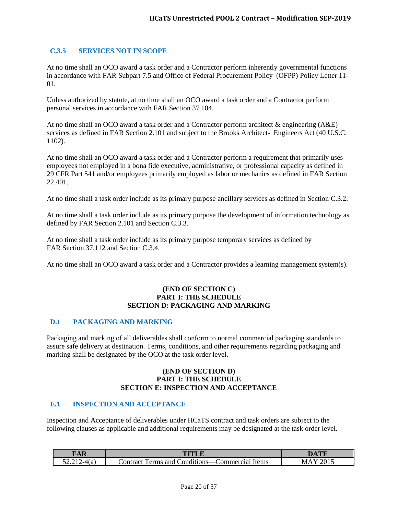## <span id="page-19-0"></span>**C.3.5 SERVICES NOT IN SCOPE**

At no time shall an OCO award a task order and a Contractor perform inherently governmental functions in accordance with FAR Subpart 7.5 and Office of Federal Procurement Policy (OFPP) Policy Letter 11- 01.

Unless authorized by statute, at no time shall an OCO award a task order and a Contractor perform personal services in accordance with FAR Section 37.104.

At no time shall an OCO award a task order and a Contractor perform architect & engineering (A&E) services as defined in FAR Section 2.101 and subject to the Brooks Architect- Engineers Act (40 U.S.C. 1102).

At no time shall an OCO award a task order and a Contractor perform a requirement that primarily uses employees not employed in a bona fide executive, administrative, or professional capacity as defined in 29 CFR Part 541 and/or employees primarily employed as labor or mechanics as defined in FAR Section 22.401.

At no time shall a task order include as its primary purpose ancillary services as defined in Section C.3.2.

At no time shall a task order include as its primary purpose the development of information technology as defined by FAR Section 2.101 and Section C.3.3.

At no time shall a task order include as its primary purpose temporary services as defined by FAR Section 37.112 and Section C.3.4.

At no time shall an OCO award a task order and a Contractor provides a learning management system(s).

#### **(END OF SECTION C) PART I: THE SCHEDULE SECTION D: PACKAGING AND MARKING**

#### <span id="page-19-1"></span>**D.1 PACKAGING AND MARKING**

Packaging and marking of all deliverables shall conform to normal commercial packaging standards to assure safe delivery at destination. Terms, conditions, and other requirements regarding packaging and marking shall be designated by the OCO at the task order level.

#### **(END OF SECTION D) PART I: THE SCHEDULE SECTION E: INSPECTION AND ACCEPTANCE**

#### <span id="page-19-2"></span>**E.1 INSPECTION AND ACCEPTANCE**

Inspection and Acceptance of deliverables under HCaTS contract and task orders are subject to the following clauses as applicable and additional requirements may be designated at the task order level.

| $\sqrt{2}$ |                                                                         |   |
|------------|-------------------------------------------------------------------------|---|
|            | $\cdot$<br>Items<br>'ontract<br>onditions:/<br>`ommercia<br>and<br>erms | M |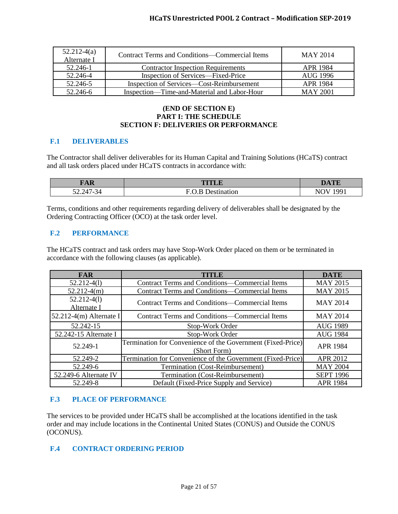| $52.212-4(a)$<br>Alternate I | Contract Terms and Conditions—Commercial Items | MAY 2014        |
|------------------------------|------------------------------------------------|-----------------|
| 52.246-1                     | <b>Contractor Inspection Requirements</b>      | APR 1984        |
| 52.246-4                     | Inspection of Services—Fixed-Price             | AUG 1996        |
| 52.246-5                     | Inspection of Services—Cost-Reimbursement      | APR 1984        |
| 52.246-6                     | Inspection—Time-and-Material and Labor-Hour    | <b>MAY 2001</b> |

### **(END OF SECTION E) PART I: THE SCHEDULE SECTION F: DELIVERIES OR PERFORMANCE**

#### <span id="page-20-0"></span>**F.1 DELIVERABLES**

The Contractor shall deliver deliverables for its Human Capital and Training Solutions (HCaTS) contract and all task orders placed under HCaTS contracts in accordance with:

| <b>FAR</b>           | <b>THAT R</b> | <b>DATE</b>       |
|----------------------|---------------|-------------------|
| $52.247 - 34$<br>___ | latior        | 1001<br>ำ \.<br>N |

Terms, conditions and other requirements regarding delivery of deliverables shall be designated by the Ordering Contracting Officer (OCO) at the task order level.

#### <span id="page-20-1"></span>**F.2 PERFORMANCE**

The HCaTS contract and task orders may have Stop-Work Order placed on them or be terminated in accordance with the following clauses (as applicable).

| <b>FAR</b>                   | TITLE                                                                       | <b>DATE</b>      |
|------------------------------|-----------------------------------------------------------------------------|------------------|
| $52.212 - 4(1)$              | <b>Contract Terms and Conditions—Commercial Items</b>                       | <b>MAY 2015</b>  |
| $52.212-4(m)$                | Contract Terms and Conditions—Commercial Items                              | <b>MAY 2015</b>  |
| $52.212-4(1)$<br>Alternate I | <b>Contract Terms and Conditions—Commercial Items</b>                       | <b>MAY 2014</b>  |
| $52.212-4(m)$ Alternate I    | Contract Terms and Conditions—Commercial Items                              | <b>MAY 2014</b>  |
| 52.242-15                    | Stop-Work Order                                                             | <b>AUG 1989</b>  |
| 52.242-15 Alternate I        | Stop-Work Order                                                             | <b>AUG 1984</b>  |
| 52.249-1                     | Termination for Convenience of the Government (Fixed-Price)<br>(Short Form) | <b>APR 1984</b>  |
| 52.249-2                     | Termination for Convenience of the Government (Fixed-Price)                 | APR 2012         |
| 52.249-6                     | Termination (Cost-Reimbursement)                                            | <b>MAY 2004</b>  |
| 52.249-6 Alternate IV        | Termination (Cost-Reimbursement)                                            | <b>SEPT 1996</b> |
| 52.249-8                     | Default (Fixed-Price Supply and Service)                                    | <b>APR 1984</b>  |

#### <span id="page-20-2"></span>**F.3 PLACE OF PERFORMANCE**

The services to be provided under HCaTS shall be accomplished at the locations identified in the task order and may include locations in the Continental United States (CONUS) and Outside the CONUS (OCONUS).

#### <span id="page-20-3"></span>**F.4 CONTRACT ORDERING PERIOD**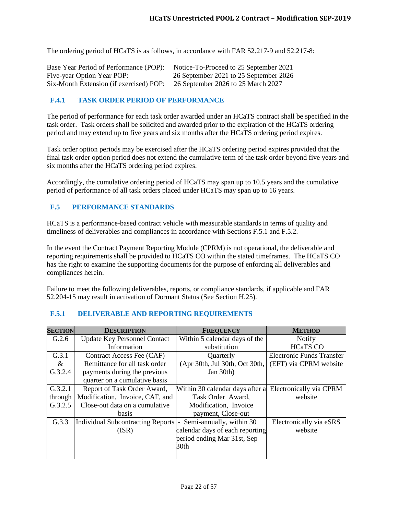The ordering period of HCaTS is as follows, in accordance with FAR 52.217-9 and 52.217-8:

| Base Year Period of Performance (POP):  | Notice-To-Proceed to 25 September 2021 |
|-----------------------------------------|----------------------------------------|
| Five-year Option Year POP:              | 26 September 2021 to 25 September 2026 |
| Six-Month Extension (if exercised) POP: | 26 September 2026 to 25 March 2027     |

### <span id="page-21-0"></span>**F.4.1 TASK ORDER PERIOD OF PERFORMANCE**

The period of performance for each task order awarded under an HCaTS contract shall be specified in the task order. Task orders shall be solicited and awarded prior to the expiration of the HCaTS ordering period and may extend up to five years and six months after the HCaTS ordering period expires.

Task order option periods may be exercised after the HCaTS ordering period expires provided that the final task order option period does not extend the cumulative term of the task order beyond five years and six months after the HCaTS ordering period expires.

Accordingly, the cumulative ordering period of HCaTS may span up to 10.5 years and the cumulative period of performance of all task orders placed under HCaTS may span up to 16 years.

#### <span id="page-21-1"></span>**F.5 PERFORMANCE STANDARDS**

HCaTS is a performance-based contract vehicle with measurable standards in terms of quality and timeliness of deliverables and compliances in accordance with Sections F.5.1 and F.5.2.

In the event the Contract Payment Reporting Module (CPRM) is not operational, the deliverable and reporting requirements shall be provided to HCaTS CO within the stated timeframes. The HCaTS CO has the right to examine the supporting documents for the purpose of enforcing all deliverables and compliances herein.

Failure to meet the following deliverables, reports, or compliance standards, if applicable and FAR 52.204-15 may result in activation of Dormant Status (See Section H.25).

| <b>SECTION</b> | <b>DESCRIPTION</b>                       | <b>FREQUENCY</b>                                        | <b>METHOD</b>             |
|----------------|------------------------------------------|---------------------------------------------------------|---------------------------|
| G.2.6          | <b>Update Key Personnel Contact</b>      | Within 5 calendar days of the                           | <b>Notify</b>             |
|                | Information                              | substitution                                            | <b>HCaTS CO</b>           |
| G.3.1          | Contract Access Fee (CAF)                | Quarterly                                               | Electronic Funds Transfer |
| $\&$           | Remittance for all task order            | (Apr 30th, Jul 30th, Oct 30th,                          | (EFT) via CPRM website    |
| G.3.2.4        | payments during the previous             | Jan 30th)                                               |                           |
|                | quarter on a cumulative basis            |                                                         |                           |
| G.3.2.1        | Report of Task Order Award,              | Within 30 calendar days after a Electronically via CPRM |                           |
| through        | Modification, Invoice, CAF, and          | Task Order Award,                                       | website                   |
| G.3.2.5        | Close-out data on a cumulative           | Modification, Invoice                                   |                           |
|                | basis                                    | payment, Close-out                                      |                           |
| G.3.3          | <b>Individual Subcontracting Reports</b> | Semi-annually, within 30<br>$\blacksquare$              | Electronically via eSRS   |
|                | (ISR)                                    | calendar days of each reporting                         | website                   |
|                |                                          | period ending Mar 31st, Sep                             |                           |
|                |                                          | 30 <sub>th</sub>                                        |                           |
|                |                                          |                                                         |                           |

#### <span id="page-21-2"></span>**F.5.1 DELIVERABLE AND REPORTING REQUIREMENTS**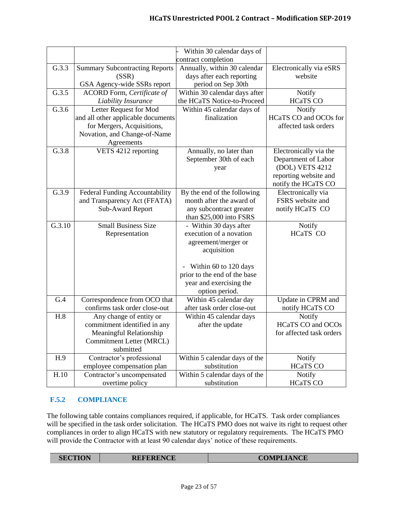|        |                                       | Within 30 calendar days of    |                          |
|--------|---------------------------------------|-------------------------------|--------------------------|
|        |                                       | contract completion           |                          |
| G.3.3  | <b>Summary Subcontracting Reports</b> | Annually, within 30 calendar  | Electronically via eSRS  |
|        | (SSR)                                 | days after each reporting     | website                  |
|        | GSA Agency-wide SSRs report           | period on Sep 30th            |                          |
| G.3.5  | ACORD Form, Certificate of            | Within 30 calendar days after | Notify                   |
|        | Liability Insurance                   | the HCaTS Notice-to-Proceed   | <b>HCaTS CO</b>          |
| G.3.6  | Letter Request for Mod                | Within 45 calendar days of    | Notify                   |
|        | and all other applicable documents    | finalization                  | HCaTS CO and OCOs for    |
|        | for Mergers, Acquisitions,            |                               | affected task orders     |
|        | Novation, and Change-of-Name          |                               |                          |
|        | Agreements                            |                               |                          |
| G.3.8  | VETS 4212 reporting                   | Annually, no later than       | Electronically via the   |
|        |                                       | September 30th of each        | Department of Labor      |
|        |                                       | year                          | (DOL) VETS 4212          |
|        |                                       |                               | reporting website and    |
|        |                                       |                               | notify the HCaTS CO      |
| G.3.9  | Federal Funding Accountability        | By the end of the following   | Electronically via       |
|        | and Transparency Act (FFATA)          | month after the award of      | FSRS website and         |
|        | Sub-Award Report                      | any subcontract greater       | notify HCaTS CO          |
|        |                                       | than \$25,000 into FSRS       |                          |
| G.3.10 | <b>Small Business Size</b>            | - Within 30 days after        | Notify                   |
|        | Representation                        | execution of a novation       | HCaTS CO                 |
|        |                                       | agreement/merger or           |                          |
|        |                                       | acquisition                   |                          |
|        |                                       | Within 60 to 120 days         |                          |
|        |                                       | prior to the end of the base  |                          |
|        |                                       | year and exercising the       |                          |
|        |                                       | option period.                |                          |
| G.4    | Correspondence from OCO that          | Within 45 calendar day        | Update in CPRM and       |
|        | confirms task order close-out         | after task order close-out    | notify HCaTS CO          |
| H.8    | Any change of entity or               | Within 45 calendar days       | Notify                   |
|        | commitment identified in any          | after the update              | <b>HCaTS CO and OCOs</b> |
|        | Meaningful Relationship               |                               | for affected task orders |
|        | Commitment Letter (MRCL)              |                               |                          |
|        | submitted                             |                               |                          |
| H.9    | Contractor's professional             | Within 5 calendar days of the | Notify                   |
|        | employee compensation plan            | substitution                  | <b>HCaTS CO</b>          |
| H.10   | Contractor's uncompensated            | Within 5 calendar days of the | <b>Notify</b>            |
|        | overtime policy                       | substitution                  | <b>HCaTS CO</b>          |

# <span id="page-22-0"></span>**F.5.2 COMPLIANCE**

The following table contains compliances required, if applicable, for HCaTS. Task order compliances will be specified in the task order solicitation. The HCaTS PMO does not waive its right to request other compliances in order to align HCaTS with new statutory or regulatory requirements. The HCaTS PMO will provide the Contractor with at least 90 calendar days' notice of these requirements.

| <b>COMPLIANCE</b><br><b>REFERENCE</b><br><b>SECTION</b> |
|---------------------------------------------------------|
|---------------------------------------------------------|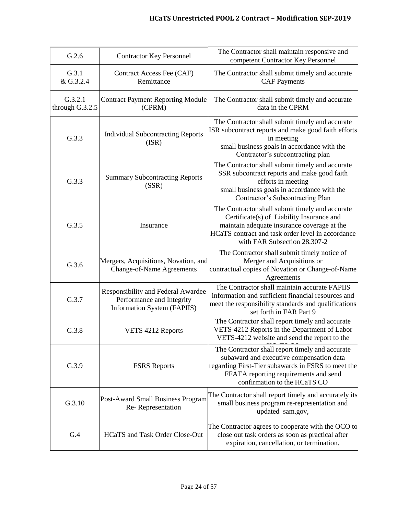| G.2.6                      | <b>Contractor Key Personnel</b>                                                                       | The Contractor shall maintain responsive and<br>competent Contractor Key Personnel                                                                                                                                               |
|----------------------------|-------------------------------------------------------------------------------------------------------|----------------------------------------------------------------------------------------------------------------------------------------------------------------------------------------------------------------------------------|
| G.3.1<br>& G.3.2.4         | Contract Access Fee (CAF)<br>Remittance                                                               | The Contractor shall submit timely and accurate<br><b>CAF Payments</b>                                                                                                                                                           |
| G.3.2.1<br>through G.3.2.5 | <b>Contract Payment Reporting Module</b><br>(CPRM)                                                    | The Contractor shall submit timely and accurate<br>data in the CPRM                                                                                                                                                              |
| G.3.3                      | <b>Individual Subcontracting Reports</b><br>(ISR)                                                     | The Contractor shall submit timely and accurate<br>ISR subcontract reports and make good faith efforts<br>in meeting<br>small business goals in accordance with the<br>Contractor's subcontracting plan                          |
| G.3.3                      | <b>Summary Subcontracting Reports</b><br>(SSR)                                                        | The Contractor shall submit timely and accurate<br>SSR subcontract reports and make good faith<br>efforts in meeting<br>small business goals in accordance with the<br>Contractor's Subcontracting Plan                          |
| G.3.5                      | Insurance                                                                                             | The Contractor shall submit timely and accurate<br>Certificate(s) of Liability Insurance and<br>maintain adequate insurance coverage at the<br>HCaTS contract and task order level in accordance<br>with FAR Subsection 28.307-2 |
| G.3.6                      | Mergers, Acquisitions, Novation, and<br><b>Change-of-Name Agreements</b>                              | The Contractor shall submit timely notice of<br>Merger and Acquisitions or<br>contractual copies of Novation or Change-of-Name<br>Agreements                                                                                     |
| G.3.7                      | Responsibility and Federal Awardee<br>Performance and Integrity<br><b>Information System (FAPIIS)</b> | The Contractor shall maintain accurate FAPIIS<br>information and sufficient financial resources and<br>meet the responsibility standards and qualifications<br>set forth in FAR Part 9                                           |
| G.3.8                      | VETS 4212 Reports                                                                                     | The Contractor shall report timely and accurate<br>VETS-4212 Reports in the Department of Labor<br>VETS-4212 website and send the report to the                                                                                  |
| G.3.9                      | <b>FSRS</b> Reports                                                                                   | The Contractor shall report timely and accurate<br>subaward and executive compensation data<br>regarding First-Tier subawards in FSRS to meet the<br>FFATA reporting requirements and send<br>confirmation to the HCaTS CO       |
| G.3.10                     | Post-Award Small Business Program<br>Re-Representation                                                | The Contractor shall report timely and accurately its<br>small business program re-representation and<br>updated sam.gov,                                                                                                        |
| G.4                        | HCaTS and Task Order Close-Out                                                                        | The Contractor agrees to cooperate with the OCO to<br>close out task orders as soon as practical after<br>expiration, cancellation, or termination.                                                                              |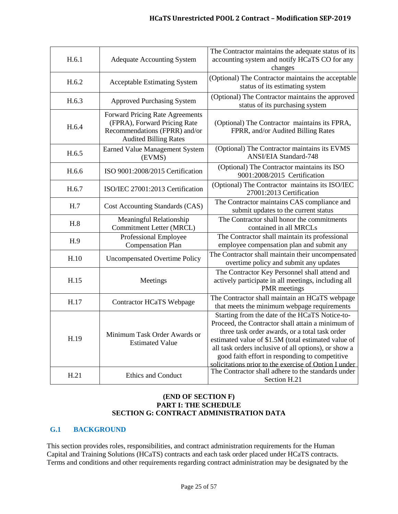| H.6.1 | <b>Adequate Accounting System</b>                                                                                                | The Contractor maintains the adequate status of its<br>accounting system and notify HCaTS CO for any<br>changes                                                                                                                                                                                                                                                                                                                       |
|-------|----------------------------------------------------------------------------------------------------------------------------------|---------------------------------------------------------------------------------------------------------------------------------------------------------------------------------------------------------------------------------------------------------------------------------------------------------------------------------------------------------------------------------------------------------------------------------------|
| H.6.2 | <b>Acceptable Estimating System</b>                                                                                              | (Optional) The Contractor maintains the acceptable<br>status of its estimating system                                                                                                                                                                                                                                                                                                                                                 |
| H.6.3 | <b>Approved Purchasing System</b>                                                                                                | (Optional) The Contractor maintains the approved<br>status of its purchasing system                                                                                                                                                                                                                                                                                                                                                   |
| H.6.4 | Forward Pricing Rate Agreements<br>(FPRA), Forward Pricing Rate<br>Recommendations (FPRR) and/or<br><b>Audited Billing Rates</b> | (Optional) The Contractor maintains its FPRA,<br>FPRR, and/or Audited Billing Rates                                                                                                                                                                                                                                                                                                                                                   |
| H.6.5 | <b>Earned Value Management System</b><br>(EVMS)                                                                                  | (Optional) The Contractor maintains its EVMS<br><b>ANSI/EIA Standard-748</b>                                                                                                                                                                                                                                                                                                                                                          |
| H.6.6 | ISO 9001:2008/2015 Certification                                                                                                 | (Optional) The Contractor maintains its ISO<br>9001:2008/2015 Certification                                                                                                                                                                                                                                                                                                                                                           |
| H.6.7 | ISO/IEC 27001:2013 Certification                                                                                                 | (Optional) The Contractor maintains its ISO/IEC<br>27001:2013 Certification                                                                                                                                                                                                                                                                                                                                                           |
| H.7   | Cost Accounting Standards (CAS)                                                                                                  | The Contractor maintains CAS compliance and<br>submit updates to the current status                                                                                                                                                                                                                                                                                                                                                   |
|       | Meaningful Relationship                                                                                                          | The Contractor shall honor the commitments                                                                                                                                                                                                                                                                                                                                                                                            |
| H.8   | Commitment Letter (MRCL)                                                                                                         | contained in all MRCLs                                                                                                                                                                                                                                                                                                                                                                                                                |
| H.9   | Professional Employee<br><b>Compensation Plan</b>                                                                                | The Contractor shall maintain its professional<br>employee compensation plan and submit any                                                                                                                                                                                                                                                                                                                                           |
| H.10  | <b>Uncompensated Overtime Policy</b>                                                                                             | The Contractor shall maintain their uncompensated<br>overtime policy and submit any updates                                                                                                                                                                                                                                                                                                                                           |
| H.15  | Meetings                                                                                                                         | The Contractor Key Personnel shall attend and<br>actively participate in all meetings, including all<br><b>PMR</b> meetings                                                                                                                                                                                                                                                                                                           |
| H.17  | <b>Contractor HCaTS Webpage</b>                                                                                                  | The Contractor shall maintain an HCaTS webpage<br>that meets the minimum webpage requirements                                                                                                                                                                                                                                                                                                                                         |
| H.19  | Minimum Task Order Awards or<br><b>Estimated Value</b>                                                                           | Starting from the date of the HCaTS Notice-to-<br>Proceed, the Contractor shall attain a minimum of<br>three task order awards, or a total task order<br>estimated value of \$1.5M (total estimated value of<br>all task orders inclusive of all options), or show a<br>good faith effort in responding to competitive<br>solicitations prior to the exercise of Option I under<br>The Contractor shall adhere to the standards under |

#### **(END OF SECTION F) PART I: THE SCHEDULE SECTION G: CONTRACT ADMINISTRATION DATA**

# <span id="page-24-0"></span>**G.1 BACKGROUND**

This section provides roles, responsibilities, and contract administration requirements for the Human Capital and Training Solutions (HCaTS) contracts and each task order placed under HCaTS contracts. Terms and conditions and other requirements regarding contract administration may be designated by the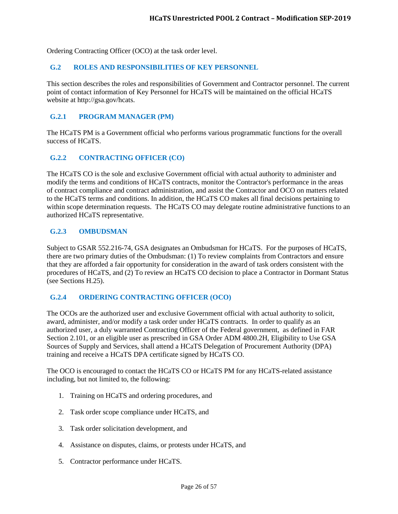Ordering Contracting Officer (OCO) at the task order level.

#### <span id="page-25-0"></span>**G.2 ROLES AND RESPONSIBILITIES OF KEY PERSONNEL**

This section describes the roles and responsibilities of Government and Contractor personnel. The current point of contact information of Key Personnel for HCaTS will be maintained on the official HCaTS website at http://gsa.gov/hcats.

#### <span id="page-25-1"></span>**G.2.1 PROGRAM MANAGER (PM)**

The HCaTS PM is a Government official who performs various programmatic functions for the overall success of HCaTS.

#### <span id="page-25-2"></span>**G.2.2 CONTRACTING OFFICER (CO)**

The HCaTS CO is the sole and exclusive Government official with actual authority to administer and modify the terms and conditions of HCaTS contracts, monitor the Contractor's performance in the areas of contract compliance and contract administration, and assist the Contractor and OCO on matters related to the HCaTS terms and conditions. In addition, the HCaTS CO makes all final decisions pertaining to within scope determination requests. The HCaTS CO may delegate routine administrative functions to an authorized HCaTS representative.

#### <span id="page-25-3"></span>**G.2.3 OMBUDSMAN**

Subject to GSAR 552.216-74, GSA designates an Ombudsman for HCaTS. For the purposes of HCaTS, there are two primary duties of the Ombudsman: (1) To review complaints from Contractors and ensure that they are afforded a fair opportunity for consideration in the award of task orders consistent with the procedures of HCaTS, and (2) To review an HCaTS CO decision to place a Contractor in Dormant Status (see Sections H.25).

#### <span id="page-25-4"></span>**G.2.4 ORDERING CONTRACTING OFFICER (OCO)**

The OCOs are the authorized user and exclusive Government official with actual authority to solicit, award, administer, and/or modify a task order under HCaTS contracts. In order to qualify as an authorized user, a duly warranted Contracting Officer of the Federal government, as defined in FAR Section 2.101, or an eligible user as prescribed in GSA Order ADM 4800.2H, Eligibility to Use GSA Sources of Supply and Services, shall attend a HCaTS Delegation of Procurement Authority (DPA) training and receive a HCaTS DPA certificate signed by HCaTS CO.

The OCO is encouraged to contact the HCaTS CO or HCaTS PM for any HCaTS-related assistance including, but not limited to, the following:

- 1. Training on HCaTS and ordering procedures, and
- 2. Task order scope compliance under HCaTS, and
- 3. Task order solicitation development, and
- 4. Assistance on disputes, claims, or protests under HCaTS, and
- 5. Contractor performance under HCaTS.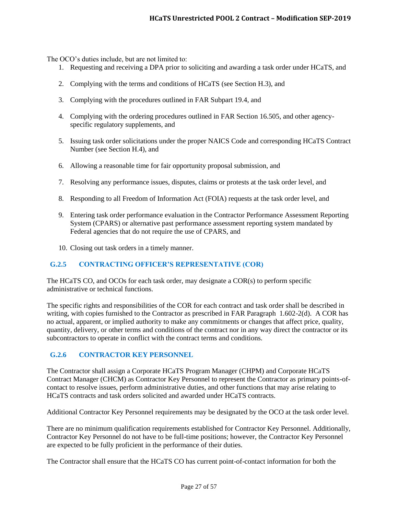The OCO's duties include, but are not limited to:

- 1. Requesting and receiving a DPA prior to soliciting and awarding a task order under HCaTS, and
- 2. Complying with the terms and conditions of HCaTS (see Section H.3), and
- 3. Complying with the procedures outlined in FAR Subpart 19.4, and
- 4. Complying with the ordering procedures outlined in FAR Section 16.505, and other agencyspecific regulatory supplements, and
- 5. Issuing task order solicitations under the proper NAICS Code and corresponding HCaTS Contract Number (see Section H.4), and
- 6. Allowing a reasonable time for fair opportunity proposal submission, and
- 7. Resolving any performance issues, disputes, claims or protests at the task order level, and
- 8. Responding to all Freedom of Information Act (FOIA) requests at the task order level, and
- 9. Entering task order performance evaluation in the Contractor Performance Assessment Reporting System (CPARS) or alternative past performance assessment reporting system mandated by Federal agencies that do not require the use of CPARS, and
- 10. Closing out task orders in a timely manner.

## <span id="page-26-0"></span>**G.2.5 CONTRACTING OFFICER'S REPRESENTATIVE (COR)**

The HCaTS CO, and OCOs for each task order, may designate a COR(s) to perform specific administrative or technical functions.

The specific rights and responsibilities of the COR for each contract and task order shall be described in writing, with copies furnished to the Contractor as prescribed in FAR Paragraph 1.602-2(d). A COR has no actual, apparent, or implied authority to make any commitments or changes that affect price, quality, quantity, delivery, or other terms and conditions of the contract nor in any way direct the contractor or its subcontractors to operate in conflict with the contract terms and conditions.

## <span id="page-26-1"></span>**G.2.6 CONTRACTOR KEY PERSONNEL**

The Contractor shall assign a Corporate HCaTS Program Manager (CHPM) and Corporate HCaTS Contract Manager (CHCM) as Contractor Key Personnel to represent the Contractor as primary points-ofcontact to resolve issues, perform administrative duties, and other functions that may arise relating to HCaTS contracts and task orders solicited and awarded under HCaTS contracts.

Additional Contractor Key Personnel requirements may be designated by the OCO at the task order level.

There are no minimum qualification requirements established for Contractor Key Personnel. Additionally, Contractor Key Personnel do not have to be full-time positions; however, the Contractor Key Personnel are expected to be fully proficient in the performance of their duties.

The Contractor shall ensure that the HCaTS CO has current point-of-contact information for both the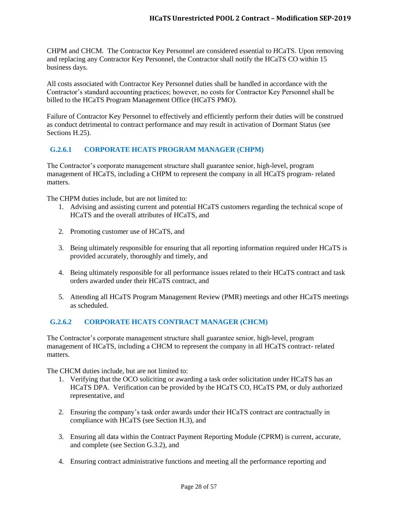CHPM and CHCM. The Contractor Key Personnel are considered essential to HCaTS. Upon removing and replacing any Contractor Key Personnel, the Contractor shall notify the HCaTS CO within 15 business days.

All costs associated with Contractor Key Personnel duties shall be handled in accordance with the Contractor's standard accounting practices; however, no costs for Contractor Key Personnel shall be billed to the HCaTS Program Management Office (HCaTS PMO).

Failure of Contractor Key Personnel to effectively and efficiently perform their duties will be construed as conduct detrimental to contract performance and may result in activation of Dormant Status (see Sections H.25).

# <span id="page-27-0"></span>**G.2.6.1 CORPORATE HCATS PROGRAM MANAGER (CHPM)**

The Contractor's corporate management structure shall guarantee senior, high-level, program management of HCaTS, including a CHPM to represent the company in all HCaTS program- related matters.

The CHPM duties include, but are not limited to:

- 1. Advising and assisting current and potential HCaTS customers regarding the technical scope of HCaTS and the overall attributes of HCaTS, and
- 2. Promoting customer use of HCaTS, and
- 3. Being ultimately responsible for ensuring that all reporting information required under HCaTS is provided accurately, thoroughly and timely, and
- 4. Being ultimately responsible for all performance issues related to their HCaTS contract and task orders awarded under their HCaTS contract, and
- 5. Attending all HCaTS Program Management Review (PMR) meetings and other HCaTS meetings as scheduled.

# <span id="page-27-1"></span>**G.2.6.2 CORPORATE HCATS CONTRACT MANAGER (CHCM)**

The Contractor's corporate management structure shall guarantee senior, high-level, program management of HCaTS, including a CHCM to represent the company in all HCaTS contract- related matters.

The CHCM duties include, but are not limited to:

- 1. Verifying that the OCO soliciting or awarding a task order solicitation under HCaTS has an HCaTS DPA. Verification can be provided by the HCaTS CO, HCaTS PM, or duly authorized representative, and
- 2. Ensuring the company's task order awards under their HCaTS contract are contractually in compliance with HCaTS (see Section H.3), and
- 3. Ensuring all data within the Contract Payment Reporting Module (CPRM) is current, accurate, and complete (see Section G.3.2), and
- 4. Ensuring contract administrative functions and meeting all the performance reporting and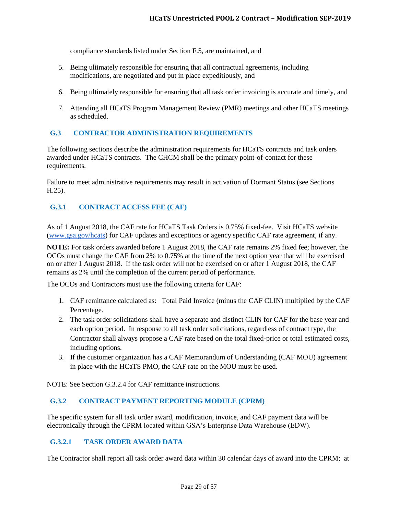compliance standards listed under Section F.5, are maintained, and

- 5. Being ultimately responsible for ensuring that all contractual agreements, including modifications, are negotiated and put in place expeditiously, and
- 6. Being ultimately responsible for ensuring that all task order invoicing is accurate and timely, and
- 7. Attending all HCaTS Program Management Review (PMR) meetings and other HCaTS meetings as scheduled.

#### <span id="page-28-0"></span>**G.3 CONTRACTOR ADMINISTRATION REQUIREMENTS**

The following sections describe the administration requirements for HCaTS contracts and task orders awarded under HCaTS contracts. The CHCM shall be the primary point-of-contact for these requirements.

Failure to meet administrative requirements may result in activation of Dormant Status (see Sections H.25).

## <span id="page-28-1"></span>**G.3.1 CONTRACT ACCESS FEE (CAF)**

As of 1 August 2018, the CAF rate for HCaTS Task Orders is 0.75% fixed-fee. Visit HCaTS website [\(www.gsa.gov/hcats\)](http://www.gsa.gov/hcats) for CAF updates and exceptions or agency specific CAF rate agreement, if any.

**NOTE:** For task orders awarded before 1 August 2018, the CAF rate remains 2% fixed fee; however, the OCOs must change the CAF from 2% to 0.75% at the time of the next option year that will be exercised on or after 1 August 2018. If the task order will not be exercised on or after 1 August 2018, the CAF remains as 2% until the completion of the current period of performance.

The OCOs and Contractors must use the following criteria for CAF:

- 1. CAF remittance calculated as: Total Paid Invoice (minus the CAF CLIN) multiplied by the CAF Percentage.
- 2. The task order solicitations shall have a separate and distinct CLIN for CAF for the base year and each option period. In response to all task order solicitations, regardless of contract type, the Contractor shall always propose a CAF rate based on the total fixed-price or total estimated costs, including options.
- 3. If the customer organization has a CAF Memorandum of Understanding (CAF MOU) agreement in place with the HCaTS PMO, the CAF rate on the MOU must be used.

NOTE: See Section G.3.2.4 for CAF remittance instructions.

## <span id="page-28-2"></span>**G.3.2 CONTRACT PAYMENT REPORTING MODULE (CPRM)**

The specific system for all task order award, modification, invoice, and CAF payment data will be electronically through the CPRM located within GSA's Enterprise Data Warehouse (EDW).

#### <span id="page-28-3"></span>**G.3.2.1 TASK ORDER AWARD DATA**

The Contractor shall report all task order award data within 30 calendar days of award into the CPRM; at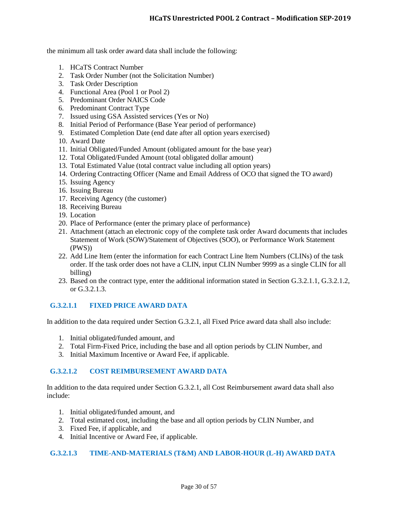the minimum all task order award data shall include the following:

- 1. HCaTS Contract Number
- 2. Task Order Number (not the Solicitation Number)
- 3. Task Order Description
- 4. Functional Area (Pool 1 or Pool 2)
- 5. Predominant Order NAICS Code
- 6. Predominant Contract Type
- 7. Issued using GSA Assisted services (Yes or No)
- 8. Initial Period of Performance (Base Year period of performance)
- 9. Estimated Completion Date (end date after all option years exercised)
- 10. Award Date
- 11. Initial Obligated/Funded Amount (obligated amount for the base year)
- 12. Total Obligated/Funded Amount (total obligated dollar amount)
- 13. Total Estimated Value (total contract value including all option years)
- 14. Ordering Contracting Officer (Name and Email Address of OCO that signed the TO award)
- 15. Issuing Agency
- 16. Issuing Bureau
- 17. Receiving Agency (the customer)
- 18. Receiving Bureau
- 19. Location
- 20. Place of Performance (enter the primary place of performance)
- 21. Attachment (attach an electronic copy of the complete task order Award documents that includes Statement of Work (SOW)/Statement of Objectives (SOO), or Performance Work Statement (PWS))
- 22. Add Line Item (enter the information for each Contract Line Item Numbers (CLINs) of the task order. If the task order does not have a CLIN, input CLIN Number 9999 as a single CLIN for all billing)
- 23. Based on the contract type, enter the additional information stated in Section G.3.2.1.1, G.3.2.1.2, or G.3.2.1.3.

## <span id="page-29-0"></span>**G.3.2.1.1 FIXED PRICE AWARD DATA**

In addition to the data required under Section G.3.2.1, all Fixed Price award data shall also include:

- 1. Initial obligated/funded amount, and
- 2. Total Firm-Fixed Price, including the base and all option periods by CLIN Number, and
- 3. Initial Maximum Incentive or Award Fee, if applicable.

#### <span id="page-29-1"></span>**G.3.2.1.2 COST REIMBURSEMENT AWARD DATA**

In addition to the data required under Section G.3.2.1, all Cost Reimbursement award data shall also include:

- 1. Initial obligated/funded amount, and
- 2. Total estimated cost, including the base and all option periods by CLIN Number, and
- 3. Fixed Fee, if applicable, and
- 4. Initial Incentive or Award Fee, if applicable.

#### <span id="page-29-2"></span>**G.3.2.1.3 TIME-AND-MATERIALS (T&M) AND LABOR-HOUR (L-H) AWARD DATA**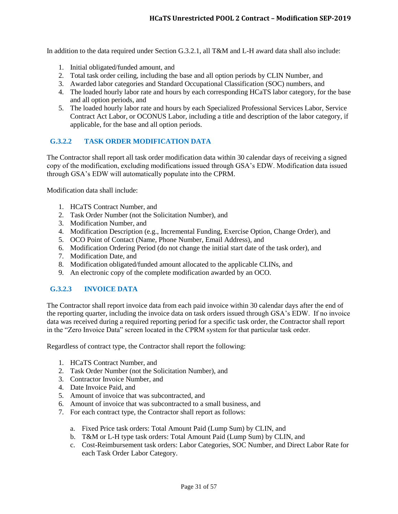In addition to the data required under Section G.3.2.1, all T&M and L-H award data shall also include:

- 1. Initial obligated/funded amount, and
- 2. Total task order ceiling, including the base and all option periods by CLIN Number, and
- 3. Awarded labor categories and Standard Occupational Classification (SOC) numbers, and
- 4. The loaded hourly labor rate and hours by each corresponding HCaTS labor category, for the base and all option periods, and
- 5. The loaded hourly labor rate and hours by each Specialized Professional Services Labor, Service Contract Act Labor, or OCONUS Labor, including a title and description of the labor category, if applicable, for the base and all option periods.

#### <span id="page-30-0"></span>**G.3.2.2 TASK ORDER MODIFICATION DATA**

The Contractor shall report all task order modification data within 30 calendar days of receiving a signed copy of the modification, excluding modifications issued through GSA's EDW. Modification data issued through GSA's EDW will automatically populate into the CPRM.

Modification data shall include:

- 1. HCaTS Contract Number, and
- 2. Task Order Number (not the Solicitation Number), and
- 3. Modification Number, and
- 4. Modification Description (e.g., Incremental Funding, Exercise Option, Change Order), and
- 5. OCO Point of Contact (Name, Phone Number, Email Address), and
- 6. Modification Ordering Period (do not change the initial start date of the task order), and
- 7. Modification Date, and
- 8. Modification obligated/funded amount allocated to the applicable CLINs, and
- 9. An electronic copy of the complete modification awarded by an OCO.

## <span id="page-30-1"></span>**G.3.2.3 INVOICE DATA**

The Contractor shall report invoice data from each paid invoice within 30 calendar days after the end of the reporting quarter, including the invoice data on task orders issued through GSA's EDW. If no invoice data was received during a required reporting period for a specific task order, the Contractor shall report in the "Zero Invoice Data" screen located in the CPRM system for that particular task order.

Regardless of contract type, the Contractor shall report the following:

- 1. HCaTS Contract Number, and
- 2. Task Order Number (not the Solicitation Number), and
- 3. Contractor Invoice Number, and
- 4. Date Invoice Paid, and
- 5. Amount of invoice that was subcontracted, and
- 6. Amount of invoice that was subcontracted to a small business, and
- 7. For each contract type, the Contractor shall report as follows:
	- a. Fixed Price task orders: Total Amount Paid (Lump Sum) by CLIN, and
	- b. T&M or L-H type task orders: Total Amount Paid (Lump Sum) by CLIN, and
	- c. Cost-Reimbursement task orders: Labor Categories, SOC Number, and Direct Labor Rate for each Task Order Labor Category.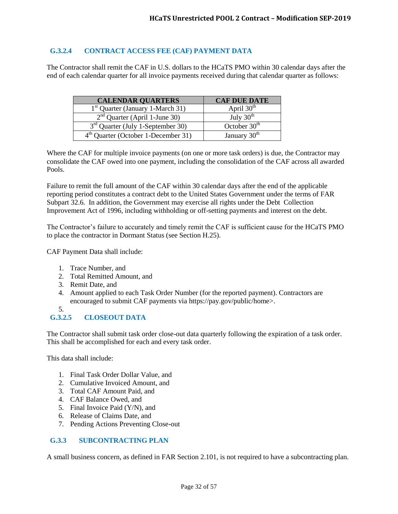## <span id="page-31-0"></span>**G.3.2.4 CONTRACT ACCESS FEE (CAF) PAYMENT DATA**

The Contractor shall remit the CAF in U.S. dollars to the HCaTS PMO within 30 calendar days after the end of each calendar quarter for all invoice payments received during that calendar quarter as follows:

| <b>CALENDAR QUARTERS</b>              | <b>CAF DUE DATE</b>      |
|---------------------------------------|--------------------------|
| $1st$ Quarter (January 1-March 31)    | April $30th$             |
| $2nd$ Quarter (April 1-June 30)       | July $30th$              |
| $3rd$ Quarter (July 1-September 30)   | October 30 <sup>th</sup> |
| $4th$ Quarter (October 1-December 31) | January 30 <sup>th</sup> |

Where the CAF for multiple invoice payments (on one or more task orders) is due, the Contractor may consolidate the CAF owed into one payment, including the consolidation of the CAF across all awarded Pools.

Failure to remit the full amount of the CAF within 30 calendar days after the end of the applicable reporting period constitutes a contract debt to the United States Government under the terms of FAR Subpart 32.6. In addition, the Government may exercise all rights under the Debt Collection Improvement Act of 1996, including withholding or off-setting payments and interest on the debt.

The Contractor's failure to accurately and timely remit the CAF is sufficient cause for the HCaTS PMO to place the contractor in Dormant Status (see Section H.25).

CAF Payment Data shall include:

- 1. Trace Number, and
- 2. Total Remitted Amount, and
- 3. Remit Date, and
- 4. Amount applied to each Task Order Number (for the reported payment). Contractors are encouraged to submit CAF payments via https://pay.gov/public/home>.

#### <span id="page-31-1"></span>5. **G.3.2.5 CLOSEOUT DATA**

The Contractor shall submit task order close-out data quarterly following the expiration of a task order. This shall be accomplished for each and every task order.

This data shall include:

- 1. Final Task Order Dollar Value, and
- 2. Cumulative Invoiced Amount, and
- 3. Total CAF Amount Paid, and
- 4. CAF Balance Owed, and
- 5. Final Invoice Paid (Y/N), and
- 6. Release of Claims Date, and
- 7. Pending Actions Preventing Close-out

## <span id="page-31-2"></span>**G.3.3 SUBCONTRACTING PLAN**

A small business concern, as defined in FAR Section 2.101, is not required to have a subcontracting plan.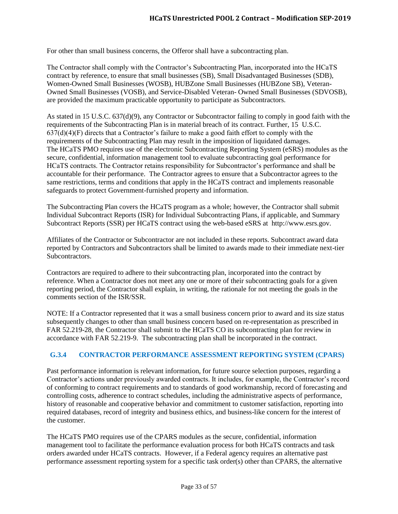For other than small business concerns, the Offeror shall have a subcontracting plan.

The Contractor shall comply with the Contractor's Subcontracting Plan, incorporated into the HCaTS contract by reference, to ensure that small businesses (SB), Small Disadvantaged Businesses (SDB), Women-Owned Small Businesses (WOSB), HUBZone Small Businesses (HUBZone SB), Veteran-Owned Small Businesses (VOSB), and Service-Disabled Veteran- Owned Small Businesses (SDVOSB), are provided the maximum practicable opportunity to participate as Subcontractors.

As stated in 15 U.S.C. 637(d)(9), any Contractor or Subcontractor failing to comply in good faith with the requirements of the Subcontracting Plan is in material breach of its contract. Further, 15 U.S.C.  $637(d)(4)(F)$  directs that a Contractor's failure to make a good faith effort to comply with the requirements of the Subcontracting Plan may result in the imposition of liquidated damages. The HCaTS PMO requires use of the electronic Subcontracting Reporting System (eSRS) modules as the secure, confidential, information management tool to evaluate subcontracting goal performance for HCaTS contracts. The Contractor retains responsibility for Subcontractor's performance and shall be accountable for their performance. The Contractor agrees to ensure that a Subcontractor agrees to the same restrictions, terms and conditions that apply in the HCaTS contract and implements reasonable safeguards to protect Government-furnished property and information.

The Subcontracting Plan covers the HCaTS program as a whole; however, the Contractor shall submit Individual Subcontract Reports (ISR) for Individual Subcontracting Plans, if applicable, and Summary Subcontract Reports (SSR) per HCaTS contract using the web-based eSRS at http://www.esrs.gov.

Affiliates of the Contractor or Subcontractor are not included in these reports. Subcontract award data reported by Contractors and Subcontractors shall be limited to awards made to their immediate next-tier Subcontractors.

Contractors are required to adhere to their subcontracting plan, incorporated into the contract by reference. When a Contractor does not meet any one or more of their subcontracting goals for a given reporting period, the Contractor shall explain, in writing, the rationale for not meeting the goals in the comments section of the ISR/SSR.

NOTE: If a Contractor represented that it was a small business concern prior to award and its size status subsequently changes to other than small business concern based on re-representation as prescribed in FAR 52.219-28, the Contractor shall submit to the HCaTS CO its subcontracting plan for review in accordance with FAR 52.219-9. The subcontracting plan shall be incorporated in the contract.

## <span id="page-32-0"></span>**G.3.4 CONTRACTOR PERFORMANCE ASSESSMENT REPORTING SYSTEM (CPARS)**

Past performance information is relevant information, for future source selection purposes, regarding a Contractor's actions under previously awarded contracts. It includes, for example, the Contractor's record of conforming to contract requirements and to standards of good workmanship, record of forecasting and controlling costs, adherence to contract schedules, including the administrative aspects of performance, history of reasonable and cooperative behavior and commitment to customer satisfaction, reporting into required databases, record of integrity and business ethics, and business-like concern for the interest of the customer.

The HCaTS PMO requires use of the CPARS modules as the secure, confidential, information management tool to facilitate the performance evaluation process for both HCaTS contracts and task orders awarded under HCaTS contracts. However, if a Federal agency requires an alternative past performance assessment reporting system for a specific task order(s) other than CPARS, the alternative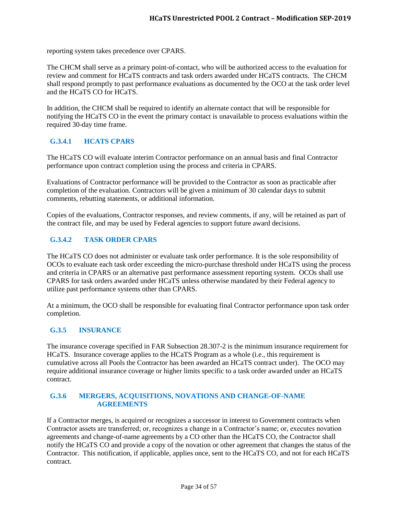reporting system takes precedence over CPARS.

The CHCM shall serve as a primary point-of-contact, who will be authorized access to the evaluation for review and comment for HCaTS contracts and task orders awarded under HCaTS contracts. The CHCM shall respond promptly to past performance evaluations as documented by the OCO at the task order level and the HCaTS CO for HCaTS.

In addition, the CHCM shall be required to identify an alternate contact that will be responsible for notifying the HCaTS CO in the event the primary contact is unavailable to process evaluations within the required 30-day time frame.

# <span id="page-33-0"></span>**G.3.4.1 HCATS CPARS**

The HCaTS CO will evaluate interim Contractor performance on an annual basis and final Contractor performance upon contract completion using the process and criteria in CPARS.

Evaluations of Contractor performance will be provided to the Contractor as soon as practicable after completion of the evaluation. Contractors will be given a minimum of 30 calendar days to submit comments, rebutting statements, or additional information.

Copies of the evaluations, Contractor responses, and review comments, if any, will be retained as part of the contract file, and may be used by Federal agencies to support future award decisions.

# <span id="page-33-1"></span>**G.3.4.2 TASK ORDER CPARS**

The HCaTS CO does not administer or evaluate task order performance. It is the sole responsibility of OCOs to evaluate each task order exceeding the micro-purchase threshold under HCaTS using the process and criteria in CPARS or an alternative past performance assessment reporting system. OCOs shall use CPARS for task orders awarded under HCaTS unless otherwise mandated by their Federal agency to utilize past performance systems other than CPARS.

At a minimum, the OCO shall be responsible for evaluating final Contractor performance upon task order completion.

#### <span id="page-33-2"></span>**G.3.5 INSURANCE**

The insurance coverage specified in FAR Subsection 28.307-2 is the minimum insurance requirement for HCaTS. Insurance coverage applies to the HCaTS Program as a whole (i.e., this requirement is cumulative across all Pools the Contractor has been awarded an HCaTS contract under). The OCO may require additional insurance coverage or higher limits specific to a task order awarded under an HCaTS contract.

#### <span id="page-33-3"></span>**G.3.6 MERGERS, ACQUISITIONS, NOVATIONS AND CHANGE-OF-NAME AGREEMENTS**

If a Contractor merges, is acquired or recognizes a successor in interest to Government contracts when Contractor assets are transferred; or, recognizes a change in a Contractor's name; or, executes novation agreements and change-of-name agreements by a CO other than the HCaTS CO, the Contractor shall notify the HCaTS CO and provide a copy of the novation or other agreement that changes the status of the Contractor. This notification, if applicable, applies once, sent to the HCaTS CO, and not for each HCaTS contract.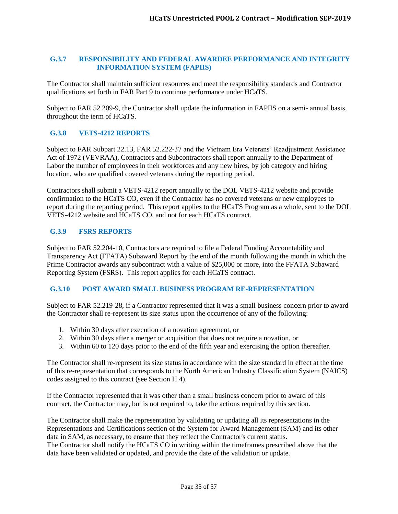#### <span id="page-34-0"></span>**G.3.7 RESPONSIBILITY AND FEDERAL AWARDEE PERFORMANCE AND INTEGRITY INFORMATION SYSTEM (FAPIIS)**

The Contractor shall maintain sufficient resources and meet the responsibility standards and Contractor qualifications set forth in FAR Part 9 to continue performance under HCaTS.

Subject to FAR 52.209-9, the Contractor shall update the information in FAPIIS on a semi- annual basis, throughout the term of HCaTS.

## <span id="page-34-1"></span>**G.3.8 VETS-4212 REPORTS**

Subject to FAR Subpart 22.13, FAR 52.222-37 and the Vietnam Era Veterans' Readjustment Assistance Act of 1972 (VEVRAA), Contractors and Subcontractors shall report annually to the Department of Labor the number of employees in their workforces and any new hires, by job category and hiring location, who are qualified covered veterans during the reporting period.

Contractors shall submit a VETS-4212 report annually to the DOL VETS-4212 website and provide confirmation to the HCaTS CO, even if the Contractor has no covered veterans or new employees to report during the reporting period. This report applies to the HCaTS Program as a whole, sent to the DOL VETS-4212 website and HCaTS CO, and not for each HCaTS contract.

#### <span id="page-34-2"></span>**G.3.9 FSRS REPORTS**

Subject to FAR 52.204-10, Contractors are required to file a Federal Funding Accountability and Transparency Act (FFATA) Subaward Report by the end of the month following the month in which the Prime Contractor awards any subcontract with a value of \$25,000 or more, into the FFATA Subaward Reporting System (FSRS). This report applies for each HCaTS contract.

#### <span id="page-34-3"></span>**G.3.10 POST AWARD SMALL BUSINESS PROGRAM RE-REPRESENTATION**

Subject to FAR 52.219-28, if a Contractor represented that it was a small business concern prior to award the Contractor shall re-represent its size status upon the occurrence of any of the following:

- 1. Within 30 days after execution of a novation agreement, or
- 2. Within 30 days after a merger or acquisition that does not require a novation, or
- 3. Within 60 to 120 days prior to the end of the fifth year and exercising the option thereafter.

The Contractor shall re-represent its size status in accordance with the size standard in effect at the time of this re-representation that corresponds to the North American Industry Classification System (NAICS) codes assigned to this contract (see Section H.4).

If the Contractor represented that it was other than a small business concern prior to award of this contract, the Contractor may, but is not required to, take the actions required by this section.

The Contractor shall make the representation by validating or updating all its representations in the Representations and Certifications section of the System for Award Management (SAM) and its other data in SAM, as necessary, to ensure that they reflect the Contractor's current status. The Contractor shall notify the HCaTS CO in writing within the timeframes prescribed above that the data have been validated or updated, and provide the date of the validation or update.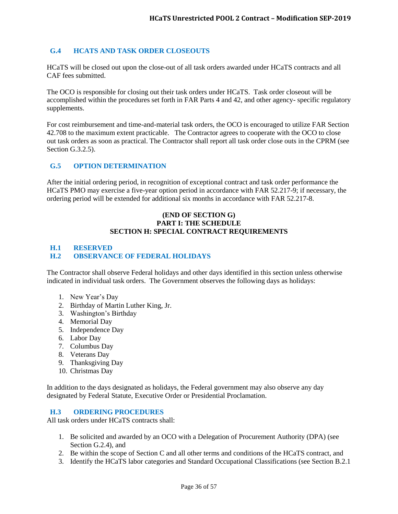## <span id="page-35-0"></span>**G.4 HCATS AND TASK ORDER CLOSEOUTS**

HCaTS will be closed out upon the close-out of all task orders awarded under HCaTS contracts and all CAF fees submitted.

The OCO is responsible for closing out their task orders under HCaTS. Task order closeout will be accomplished within the procedures set forth in FAR Parts 4 and 42, and other agency- specific regulatory supplements.

For cost reimbursement and time-and-material task orders, the OCO is encouraged to utilize FAR Section 42.708 to the maximum extent practicable. The Contractor agrees to cooperate with the OCO to close out task orders as soon as practical. The Contractor shall report all task order close outs in the CPRM (see Section G.3.2.5).

## <span id="page-35-1"></span>**G.5 OPTION DETERMINATION**

After the initial ordering period, in recognition of exceptional contract and task order performance the HCaTS PMO may exercise a five-year option period in accordance with FAR 52.217-9; if necessary, the ordering period will be extended for additional six months in accordance with FAR 52.217-8.

#### **(END OF SECTION G) PART I: THE SCHEDULE SECTION H: SPECIAL CONTRACT REQUIREMENTS**

# <span id="page-35-2"></span>**H.1 RESERVED**

#### <span id="page-35-3"></span>**H.2 OBSERVANCE OF FEDERAL HOLIDAYS**

The Contractor shall observe Federal holidays and other days identified in this section unless otherwise indicated in individual task orders. The Government observes the following days as holidays:

- 1. New Year's Day
- 2. Birthday of Martin Luther King, Jr.
- 3. Washington's Birthday
- 4. Memorial Day
- 5. Independence Day
- 6. Labor Day
- 7. Columbus Day
- 8. Veterans Day
- 9. Thanksgiving Day
- 10. Christmas Day

In addition to the days designated as holidays, the Federal government may also observe any day designated by Federal Statute, Executive Order or Presidential Proclamation.

#### <span id="page-35-4"></span>**H.3 ORDERING PROCEDURES**

All task orders under HCaTS contracts shall:

- 1. Be solicited and awarded by an OCO with a Delegation of Procurement Authority (DPA) (see Section G.2.4), and
- 2. Be within the scope of Section C and all other terms and conditions of the HCaTS contract, and
- 3. Identify the HCaTS labor categories and Standard Occupational Classifications (see Section B.2.1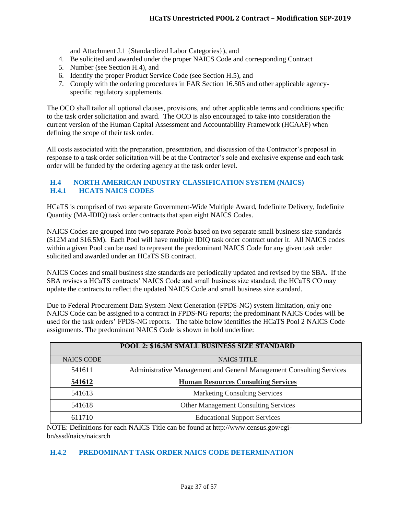and Attachment J.1 {Standardized Labor Categories}), and

- 4. Be solicited and awarded under the proper NAICS Code and corresponding Contract
- 5. Number (see Section H.4), and
- 6. Identify the proper Product Service Code (see Section H.5), and
- 7. Comply with the ordering procedures in FAR Section 16.505 and other applicable agencyspecific regulatory supplements.

The OCO shall tailor all optional clauses, provisions, and other applicable terms and conditions specific to the task order solicitation and award. The OCO is also encouraged to take into consideration the current version of the Human Capital Assessment and Accountability Framework (HCAAF) when defining the scope of their task order.

All costs associated with the preparation, presentation, and discussion of the Contractor's proposal in response to a task order solicitation will be at the Contractor's sole and exclusive expense and each task order will be funded by the ordering agency at the task order level.

### <span id="page-36-1"></span><span id="page-36-0"></span>**H.4 NORTH AMERICAN INDUSTRY CLASSIFICATION SYSTEM (NAICS) H.4.1 HCATS NAICS CODES**

HCaTS is comprised of two separate Government-Wide Multiple Award, Indefinite Delivery, Indefinite Quantity (MA-IDIQ) task order contracts that span eight NAICS Codes.

NAICS Codes are grouped into two separate Pools based on two separate small business size standards (\$12M and \$16.5M). Each Pool will have multiple IDIQ task order contract under it. All NAICS codes within a given Pool can be used to represent the predominant NAICS Code for any given task order solicited and awarded under an HCaTS SB contract.

NAICS Codes and small business size standards are periodically updated and revised by the SBA. If the SBA revises a HCaTS contracts' NAICS Code and small business size standard, the HCaTS CO may update the contracts to reflect the updated NAICS Code and small business size standard.

Due to Federal Procurement Data System-Next Generation (FPDS-NG) system limitation, only one NAICS Code can be assigned to a contract in FPDS-NG reports; the predominant NAICS Codes will be used for the task orders' FPDS-NG reports. The table below identifies the HCaTS Pool 2 NAICS Code assignments. The predominant NAICS Code is shown in bold underline:

| POOL 2: \$16.5M SMALL BUSINESS SIZE STANDARD |                                                                      |  |  |
|----------------------------------------------|----------------------------------------------------------------------|--|--|
| <b>NAICS CODE</b>                            | <b>NAICS TITLE</b>                                                   |  |  |
| 541611                                       | Administrative Management and General Management Consulting Services |  |  |
| 541612                                       | <b>Human Resources Consulting Services</b>                           |  |  |
| 541613                                       | <b>Marketing Consulting Services</b>                                 |  |  |
| 541618                                       | <b>Other Management Consulting Services</b>                          |  |  |
| 611710                                       | <b>Educational Support Services</b>                                  |  |  |

NOTE: Definitions for each NAICS Title can be found at http://www.census.gov/cgibn/sssd/naics/naicsrch

#### <span id="page-36-2"></span>**H.4.2 PREDOMINANT TASK ORDER NAICS CODE DETERMINATION**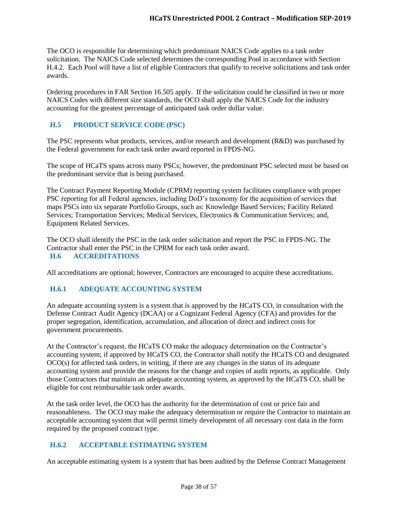The OCO is responsible for determining which predominant NAICS Code applies to a task order solicitation. The NAICS Code selected determines the corresponding Pool in accordance with Section H.4.2. Each Pool will have a list of eligible Contractors that qualify to receive solicitations and task order awards.

Ordering procedures in FAR Section 16.505 apply. If the solicitation could be classified in two or more NAICS Codes with different size standards, the OCO shall apply the NAICS Code for the industry accounting for the greatest percentage of anticipated task order dollar value.

# <span id="page-37-0"></span>**H.5 PRODUCT SERVICE CODE (PSC)**

The PSC represents what products, services, and/or research and development (R&D) was purchased by the Federal government for each task order award reported in FPDS-NG.

The scope of HCaTS spans across many PSCs; however, the predominant PSC selected must be based on the predominant service that is being purchased.

The Contract Payment Reporting Module (CPRM) reporting system facilitates compliance with proper PSC reporting for all Federal agencies, including DoD's taxonomy for the acquisition of services that maps PSCs into six separate Portfolio Groups, such as: Knowledge Based Services; Facility Related Services; Transportation Services; Medical Services, Electronics & Communication Services; and, Equipment Related Services.

<span id="page-37-1"></span>The OCO shall identify the PSC in the task order solicitation and report the PSC in FPDS-NG. The Contractor shall enter the PSC in the CPRM for each task order award. **H.6 ACCREDITATIONS**

All accreditations are optional; however, Contractors are encouraged to acquire these accreditations.

## <span id="page-37-2"></span>**H.6.1 ADEQUATE ACCOUNTING SYSTEM**

An adequate accounting system is a system that is approved by the HCaTS CO, in consultation with the Defense Contract Audit Agency (DCAA) or a Cognizant Federal Agency (CFA) and provides for the proper segregation, identification, accumulation, and allocation of direct and indirect costs for government procurements.

At the Contractor's request, the HCaTS CO make the adequacy determination on the Contractor's accounting system; if approved by HCaTS CO, the Contractor shall notify the HCaTS CO and designated OCO(s) for affected task orders, in writing, if there are any changes in the status of its adequate accounting system and provide the reasons for the change and copies of audit reports, as applicable. Only those Contractors that maintain an adequate accounting system, as approved by the HCaTS CO, shall be eligible for cost reimbursable task order awards.

At the task order level, the OCO has the authority for the determination of cost or price fair and reasonableness. The OCO may make the adequacy determination or require the Contractor to maintain an acceptable accounting system that will permit timely development of all necessary cost data in the form required by the proposed contract type.

## <span id="page-37-3"></span>**H.6.2 ACCEPTABLE ESTIMATING SYSTEM**

An acceptable estimating system is a system that has been audited by the Defense Contract Management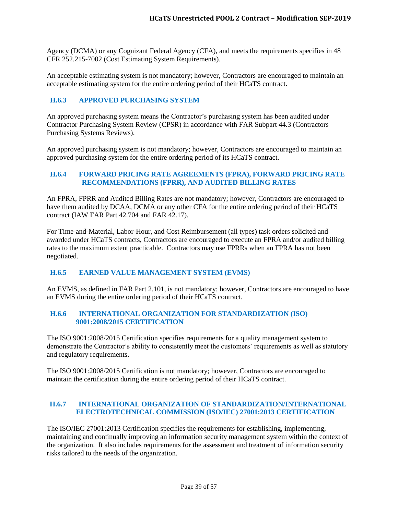Agency (DCMA) or any Cognizant Federal Agency (CFA), and meets the requirements specifies in 48 CFR 252.215-7002 (Cost Estimating System Requirements).

An acceptable estimating system is not mandatory; however, Contractors are encouraged to maintain an acceptable estimating system for the entire ordering period of their HCaTS contract.

### <span id="page-38-0"></span>**H.6.3 APPROVED PURCHASING SYSTEM**

An approved purchasing system means the Contractor's purchasing system has been audited under Contractor Purchasing System Review (CPSR) in accordance with FAR Subpart 44.3 (Contractors Purchasing Systems Reviews).

An approved purchasing system is not mandatory; however, Contractors are encouraged to maintain an approved purchasing system for the entire ordering period of its HCaTS contract.

#### <span id="page-38-1"></span>**H.6.4 FORWARD PRICING RATE AGREEMENTS (FPRA), FORWARD PRICING RATE RECOMMENDATIONS (FPRR), AND AUDITED BILLING RATES**

An FPRA, FPRR and Audited Billing Rates are not mandatory; however, Contractors are encouraged to have them audited by DCAA, DCMA or any other CFA for the entire ordering period of their HCaTS contract (IAW FAR Part 42.704 and FAR 42.17).

For Time-and-Material, Labor-Hour, and Cost Reimbursement (all types) task orders solicited and awarded under HCaTS contracts, Contractors are encouraged to execute an FPRA and/or audited billing rates to the maximum extent practicable. Contractors may use FPRRs when an FPRA has not been negotiated.

#### <span id="page-38-2"></span>**H.6.5 EARNED VALUE MANAGEMENT SYSTEM (EVMS)**

An EVMS, as defined in FAR Part 2.101, is not mandatory; however, Contractors are encouraged to have an EVMS during the entire ordering period of their HCaTS contract.

#### <span id="page-38-3"></span>**H.6.6 INTERNATIONAL ORGANIZATION FOR STANDARDIZATION (ISO) 9001:2008/2015 CERTIFICATION**

The ISO 9001:2008/2015 Certification specifies requirements for a quality management system to demonstrate the Contractor's ability to consistently meet the customers' requirements as well as statutory and regulatory requirements.

The ISO 9001:2008/2015 Certification is not mandatory; however, Contractors are encouraged to maintain the certification during the entire ordering period of their HCaTS contract.

#### <span id="page-38-4"></span>**H.6.7 INTERNATIONAL ORGANIZATION OF STANDARDIZATION/INTERNATIONAL ELECTROTECHNICAL COMMISSION (ISO/IEC) 27001:2013 CERTIFICATION**

The ISO/IEC 27001:2013 Certification specifies the requirements for establishing, implementing, maintaining and continually improving an information security management system within the context of the organization. It also includes requirements for the assessment and treatment of information security risks tailored to the needs of the organization.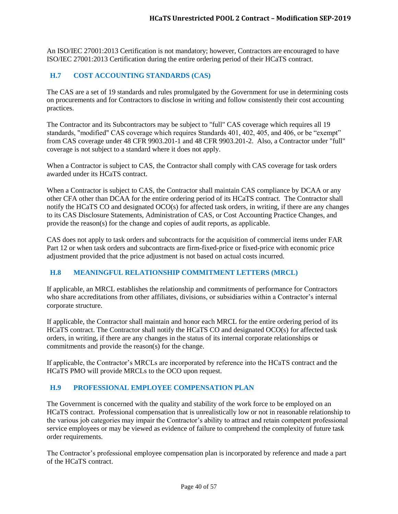An ISO/IEC 27001:2013 Certification is not mandatory; however, Contractors are encouraged to have ISO/IEC 27001:2013 Certification during the entire ordering period of their HCaTS contract.

## <span id="page-39-0"></span>**H.7 COST ACCOUNTING STANDARDS (CAS)**

The CAS are a set of 19 standards and rules promulgated by the Government for use in determining costs on procurements and for Contractors to disclose in writing and follow consistently their cost accounting practices.

The Contractor and its Subcontractors may be subject to "full" CAS coverage which requires all 19 standards, "modified" CAS coverage which requires Standards 401, 402, 405, and 406, or be "exempt" from CAS coverage under 48 CFR 9903.201-1 and 48 CFR 9903.201-2. Also, a Contractor under "full" coverage is not subject to a standard where it does not apply.

When a Contractor is subject to CAS, the Contractor shall comply with CAS coverage for task orders awarded under its HCaTS contract.

When a Contractor is subject to CAS, the Contractor shall maintain CAS compliance by DCAA or any other CFA other than DCAA for the entire ordering period of its HCaTS contract. The Contractor shall notify the HCaTS CO and designated OCO(s) for affected task orders, in writing, if there are any changes to its CAS Disclosure Statements, Administration of CAS, or Cost Accounting Practice Changes, and provide the reason(s) for the change and copies of audit reports, as applicable.

CAS does not apply to task orders and subcontracts for the acquisition of commercial items under FAR Part 12 or when task orders and subcontracts are firm-fixed-price or fixed-price with economic price adjustment provided that the price adjustment is not based on actual costs incurred.

## <span id="page-39-1"></span>**H.8 MEANINGFUL RELATIONSHIP COMMITMENT LETTERS (MRCL)**

If applicable, an MRCL establishes the relationship and commitments of performance for Contractors who share accreditations from other affiliates, divisions, or subsidiaries within a Contractor's internal corporate structure.

If applicable, the Contractor shall maintain and honor each MRCL for the entire ordering period of its HCaTS contract. The Contractor shall notify the HCaTS CO and designated OCO(s) for affected task orders, in writing, if there are any changes in the status of its internal corporate relationships or commitments and provide the reason(s) for the change.

If applicable, the Contractor's MRCLs are incorporated by reference into the HCaTS contract and the HCaTS PMO will provide MRCLs to the OCO upon request.

## <span id="page-39-2"></span>**H.9 PROFESSIONAL EMPLOYEE COMPENSATION PLAN**

The Government is concerned with the quality and stability of the work force to be employed on an HCaTS contract. Professional compensation that is unrealistically low or not in reasonable relationship to the various job categories may impair the Contractor's ability to attract and retain competent professional service employees or may be viewed as evidence of failure to comprehend the complexity of future task order requirements.

The Contractor's professional employee compensation plan is incorporated by reference and made a part of the HCaTS contract.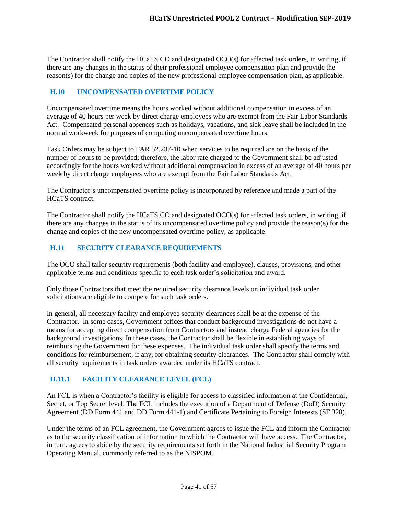The Contractor shall notify the HCaTS CO and designated OCO(s) for affected task orders, in writing, if there are any changes in the status of their professional employee compensation plan and provide the reason(s) for the change and copies of the new professional employee compensation plan, as applicable.

## <span id="page-40-0"></span>**H.10 UNCOMPENSATED OVERTIME POLICY**

Uncompensated overtime means the hours worked without additional compensation in excess of an average of 40 hours per week by direct charge employees who are exempt from the Fair Labor Standards Act. Compensated personal absences such as holidays, vacations, and sick leave shall be included in the normal workweek for purposes of computing uncompensated overtime hours.

Task Orders may be subject to FAR 52.237-10 when services to be required are on the basis of the number of hours to be provided; therefore, the labor rate charged to the Government shall be adjusted accordingly for the hours worked without additional compensation in excess of an average of 40 hours per week by direct charge employees who are exempt from the Fair Labor Standards Act.

The Contractor's uncompensated overtime policy is incorporated by reference and made a part of the HCaTS contract.

The Contractor shall notify the HCaTS CO and designated OCO(s) for affected task orders, in writing, if there are any changes in the status of its uncompensated overtime policy and provide the reason(s) for the change and copies of the new uncompensated overtime policy, as applicable.

#### <span id="page-40-1"></span>**H.11 SECURITY CLEARANCE REQUIREMENTS**

The OCO shall tailor security requirements (both facility and employee), clauses, provisions, and other applicable terms and conditions specific to each task order's solicitation and award.

Only those Contractors that meet the required security clearance levels on individual task order solicitations are eligible to compete for such task orders.

In general, all necessary facility and employee security clearances shall be at the expense of the Contractor. In some cases, Government offices that conduct background investigations do not have a means for accepting direct compensation from Contractors and instead charge Federal agencies for the background investigations. In these cases, the Contractor shall be flexible in establishing ways of reimbursing the Government for these expenses. The individual task order shall specify the terms and conditions for reimbursement, if any, for obtaining security clearances. The Contractor shall comply with all security requirements in task orders awarded under its HCaTS contract.

#### <span id="page-40-2"></span>**H.11.1 FACILITY CLEARANCE LEVEL (FCL)**

An FCL is when a Contractor's facility is eligible for access to classified information at the Confidential, Secret, or Top Secret level. The FCL includes the execution of a Department of Defense (DoD) Security Agreement (DD Form 441 and DD Form 441-1) and Certificate Pertaining to Foreign Interests (SF 328).

Under the terms of an FCL agreement, the Government agrees to issue the FCL and inform the Contractor as to the security classification of information to which the Contractor will have access. The Contractor, in turn, agrees to abide by the security requirements set forth in the National Industrial Security Program Operating Manual, commonly referred to as the NISPOM.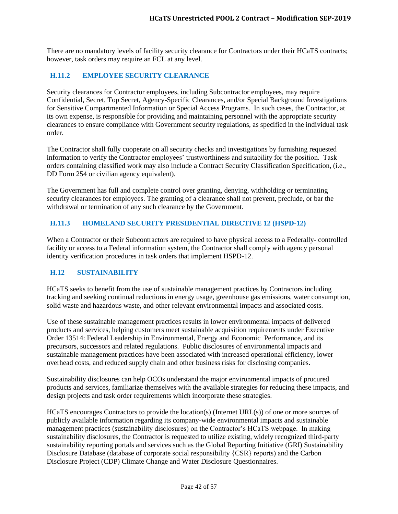There are no mandatory levels of facility security clearance for Contractors under their HCaTS contracts; however, task orders may require an FCL at any level.

## <span id="page-41-0"></span>**H.11.2 EMPLOYEE SECURITY CLEARANCE**

Security clearances for Contractor employees, including Subcontractor employees, may require Confidential, Secret, Top Secret, Agency-Specific Clearances, and/or Special Background Investigations for Sensitive Compartmented Information or Special Access Programs. In such cases, the Contractor, at its own expense, is responsible for providing and maintaining personnel with the appropriate security clearances to ensure compliance with Government security regulations, as specified in the individual task order.

The Contractor shall fully cooperate on all security checks and investigations by furnishing requested information to verify the Contractor employees' trustworthiness and suitability for the position. Task orders containing classified work may also include a Contract Security Classification Specification, (i.e., DD Form 254 or civilian agency equivalent).

The Government has full and complete control over granting, denying, withholding or terminating security clearances for employees. The granting of a clearance shall not prevent, preclude, or bar the withdrawal or termination of any such clearance by the Government.

## <span id="page-41-1"></span>**H.11.3 HOMELAND SECURITY PRESIDENTIAL DIRECTIVE 12 (HSPD-12)**

When a Contractor or their Subcontractors are required to have physical access to a Federally- controlled facility or access to a Federal information system, the Contractor shall comply with agency personal identity verification procedures in task orders that implement HSPD-12.

## <span id="page-41-2"></span>**H.12 SUSTAINABILITY**

HCaTS seeks to benefit from the use of sustainable management practices by Contractors including tracking and seeking continual reductions in energy usage, greenhouse gas emissions, water consumption, solid waste and hazardous waste, and other relevant environmental impacts and associated costs.

Use of these sustainable management practices results in lower environmental impacts of delivered products and services, helping customers meet sustainable acquisition requirements under Executive Order 13514: Federal Leadership in Environmental, Energy and Economic Performance, and its precursors, successors and related regulations. Public disclosures of environmental impacts and sustainable management practices have been associated with increased operational efficiency, lower overhead costs, and reduced supply chain and other business risks for disclosing companies.

Sustainability disclosures can help OCOs understand the major environmental impacts of procured products and services, familiarize themselves with the available strategies for reducing these impacts, and design projects and task order requirements which incorporate these strategies.

HCaTS encourages Contractors to provide the location(s) (Internet URL(s)) of one or more sources of publicly available information regarding its company-wide environmental impacts and sustainable management practices (sustainability disclosures) on the Contractor's HCaTS webpage. In making sustainability disclosures, the Contractor is requested to utilize existing, widely recognized third-party sustainability reporting portals and services such as the Global Reporting Initiative (GRI) Sustainability Disclosure Database (database of corporate social responsibility {CSR} reports) and the Carbon Disclosure Project (CDP) Climate Change and Water Disclosure Questionnaires.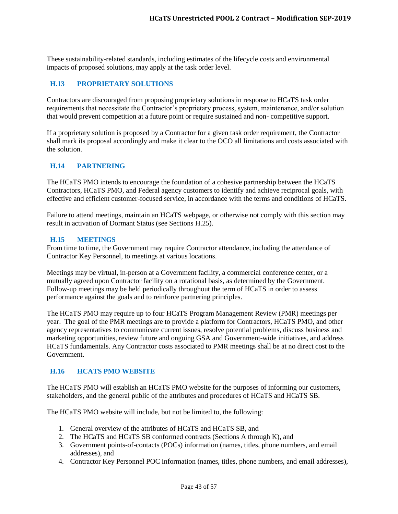These sustainability-related standards, including estimates of the lifecycle costs and environmental impacts of proposed solutions, may apply at the task order level.

# <span id="page-42-0"></span>**H.13 PROPRIETARY SOLUTIONS**

Contractors are discouraged from proposing proprietary solutions in response to HCaTS task order requirements that necessitate the Contractor's proprietary process, system, maintenance, and/or solution that would prevent competition at a future point or require sustained and non- competitive support.

If a proprietary solution is proposed by a Contractor for a given task order requirement, the Contractor shall mark its proposal accordingly and make it clear to the OCO all limitations and costs associated with the solution.

## <span id="page-42-1"></span>**H.14 PARTNERING**

The HCaTS PMO intends to encourage the foundation of a cohesive partnership between the HCaTS Contractors, HCaTS PMO, and Federal agency customers to identify and achieve reciprocal goals, with effective and efficient customer-focused service, in accordance with the terms and conditions of HCaTS.

Failure to attend meetings, maintain an HCaTS webpage, or otherwise not comply with this section may result in activation of Dormant Status (see Sections H.25).

#### <span id="page-42-2"></span>**H.15 MEETINGS**

From time to time, the Government may require Contractor attendance, including the attendance of Contractor Key Personnel, to meetings at various locations.

Meetings may be virtual, in-person at a Government facility, a commercial conference center, or a mutually agreed upon Contractor facility on a rotational basis, as determined by the Government. Follow-up meetings may be held periodically throughout the term of HCaTS in order to assess performance against the goals and to reinforce partnering principles.

The HCaTS PMO may require up to four HCaTS Program Management Review (PMR) meetings per year. The goal of the PMR meetings are to provide a platform for Contractors, HCaTS PMO, and other agency representatives to communicate current issues, resolve potential problems, discuss business and marketing opportunities, review future and ongoing GSA and Government-wide initiatives, and address HCaTS fundamentals. Any Contractor costs associated to PMR meetings shall be at no direct cost to the Government.

#### <span id="page-42-3"></span>**H.16 HCATS PMO WEBSITE**

The HCaTS PMO will establish an HCaTS PMO website for the purposes of informing our customers, stakeholders, and the general public of the attributes and procedures of HCaTS and HCaTS SB.

The HCaTS PMO website will include, but not be limited to, the following:

- 1. General overview of the attributes of HCaTS and HCaTS SB, and
- 2. The HCaTS and HCaTS SB conformed contracts (Sections A through K), and
- 3. Government points-of-contacts (POCs) information (names, titles, phone numbers, and email addresses), and
- 4. Contractor Key Personnel POC information (names, titles, phone numbers, and email addresses),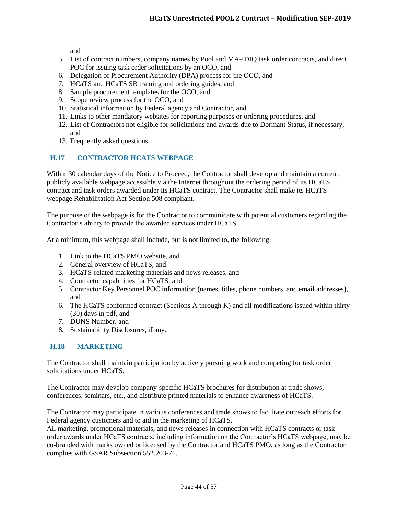and

- 5. List of contract numbers, company names by Pool and MA-IDIQ task order contracts, and direct POC for issuing task order solicitations by an OCO, and
- 6. Delegation of Procurement Authority (DPA) process for the OCO, and
- 7. HCaTS and HCaTS SB training and ordering guides, and
- 8. Sample procurement templates for the OCO, and
- 9. Scope review process for the OCO, and
- 10. Statistical information by Federal agency and Contractor, and
- 11. Links to other mandatory websites for reporting purposes or ordering procedures, and
- 12. List of Contractors not eligible for solicitations and awards due to Dormant Status, if necessary, and
- 13. Frequently asked questions.

## <span id="page-43-0"></span>**H.17 CONTRACTOR HCATS WEBPAGE**

Within 30 calendar days of the Notice to Proceed, the Contractor shall develop and maintain a current, publicly available webpage accessible via the Internet throughout the ordering period of its HCaTS contract and task orders awarded under its HCaTS contract. The Contractor shall make its HCaTS webpage Rehabilitation Act Section 508 compliant.

The purpose of the webpage is for the Contractor to communicate with potential customers regarding the Contractor's ability to provide the awarded services under HCaTS.

At a minimum, this webpage shall include, but is not limited to, the following:

- 1. Link to the HCaTS PMO website, and
- 2. General overview of HCaTS, and
- 3. HCaTS-related marketing materials and news releases, and
- 4. Contractor capabilities for HCaTS, and
- 5. Contractor Key Personnel POC information (names, titles, phone numbers, and email addresses), and
- 6. The HCaTS conformed contract (Sections A through K) and all modifications issued within thirty (30) days in pdf, and
- 7. DUNS Number, and
- 8. Sustainability Disclosures, if any.

## <span id="page-43-1"></span>**H.18 MARKETING**

The Contractor shall maintain participation by actively pursuing work and competing for task order solicitations under HCaTS.

The Contractor may develop company-specific HCaTS brochures for distribution at trade shows, conferences, seminars, etc., and distribute printed materials to enhance awareness of HCaTS.

The Contractor may participate in various conferences and trade shows to facilitate outreach efforts for Federal agency customers and to aid in the marketing of HCaTS.

All marketing, promotional materials, and news releases in connection with HCaTS contracts or task order awards under HCaTS contracts, including information on the Contractor's HCaTS webpage, may be co-branded with marks owned or licensed by the Contractor and HCaTS PMO, as long as the Contractor complies with GSAR Subsection 552.203-71.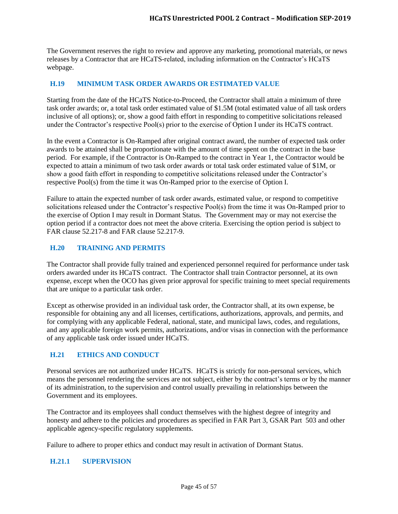The Government reserves the right to review and approve any marketing, promotional materials, or news releases by a Contractor that are HCaTS-related, including information on the Contractor's HCaTS webpage.

## <span id="page-44-0"></span>**H.19 MINIMUM TASK ORDER AWARDS OR ESTIMATED VALUE**

Starting from the date of the HCaTS Notice-to-Proceed, the Contractor shall attain a minimum of three task order awards; or, a total task order estimated value of \$1.5M (total estimated value of all task orders inclusive of all options); or, show a good faith effort in responding to competitive solicitations released under the Contractor's respective Pool(s) prior to the exercise of Option I under its HCaTS contract.

In the event a Contractor is On-Ramped after original contract award, the number of expected task order awards to be attained shall be proportionate with the amount of time spent on the contract in the base period. For example, if the Contractor is On-Ramped to the contract in Year 1, the Contractor would be expected to attain a minimum of two task order awards or total task order estimated value of \$1M, or show a good faith effort in responding to competitive solicitations released under the Contractor's respective Pool(s) from the time it was On-Ramped prior to the exercise of Option I.

Failure to attain the expected number of task order awards, estimated value, or respond to competitive solicitations released under the Contractor's respective Pool(s) from the time it was On-Ramped prior to the exercise of Option I may result in Dormant Status. The Government may or may not exercise the option period if a contractor does not meet the above criteria. Exercising the option period is subject to FAR clause 52.217-8 and FAR clause 52.217-9.

# <span id="page-44-1"></span>**H.20 TRAINING AND PERMITS**

The Contractor shall provide fully trained and experienced personnel required for performance under task orders awarded under its HCaTS contract. The Contractor shall train Contractor personnel, at its own expense, except when the OCO has given prior approval for specific training to meet special requirements that are unique to a particular task order.

Except as otherwise provided in an individual task order, the Contractor shall, at its own expense, be responsible for obtaining any and all licenses, certifications, authorizations, approvals, and permits, and for complying with any applicable Federal, national, state, and municipal laws, codes, and regulations, and any applicable foreign work permits, authorizations, and/or visas in connection with the performance of any applicable task order issued under HCaTS.

# <span id="page-44-2"></span>**H.21 ETHICS AND CONDUCT**

Personal services are not authorized under HCaTS. HCaTS is strictly for non-personal services, which means the personnel rendering the services are not subject, either by the contract's terms or by the manner of its administration, to the supervision and control usually prevailing in relationships between the Government and its employees.

The Contractor and its employees shall conduct themselves with the highest degree of integrity and honesty and adhere to the policies and procedures as specified in FAR Part 3, GSAR Part 503 and other applicable agency-specific regulatory supplements.

Failure to adhere to proper ethics and conduct may result in activation of Dormant Status.

#### <span id="page-44-3"></span>**H.21.1 SUPERVISION**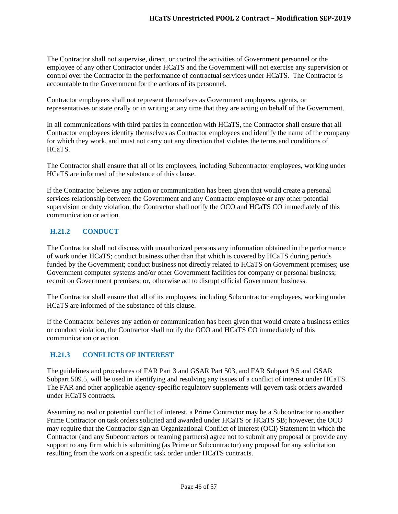The Contractor shall not supervise, direct, or control the activities of Government personnel or the employee of any other Contractor under HCaTS and the Government will not exercise any supervision or control over the Contractor in the performance of contractual services under HCaTS. The Contractor is accountable to the Government for the actions of its personnel.

Contractor employees shall not represent themselves as Government employees, agents, or representatives or state orally or in writing at any time that they are acting on behalf of the Government.

In all communications with third parties in connection with HCaTS, the Contractor shall ensure that all Contractor employees identify themselves as Contractor employees and identify the name of the company for which they work, and must not carry out any direction that violates the terms and conditions of HCaTS.

The Contractor shall ensure that all of its employees, including Subcontractor employees, working under HCaTS are informed of the substance of this clause.

If the Contractor believes any action or communication has been given that would create a personal services relationship between the Government and any Contractor employee or any other potential supervision or duty violation, the Contractor shall notify the OCO and HCaTS CO immediately of this communication or action.

# <span id="page-45-0"></span>**H.21.2 CONDUCT**

The Contractor shall not discuss with unauthorized persons any information obtained in the performance of work under HCaTS; conduct business other than that which is covered by HCaTS during periods funded by the Government; conduct business not directly related to HCaTS on Government premises; use Government computer systems and/or other Government facilities for company or personal business; recruit on Government premises; or, otherwise act to disrupt official Government business.

The Contractor shall ensure that all of its employees, including Subcontractor employees, working under HCaTS are informed of the substance of this clause.

If the Contractor believes any action or communication has been given that would create a business ethics or conduct violation, the Contractor shall notify the OCO and HCaTS CO immediately of this communication or action.

## <span id="page-45-1"></span>**H.21.3 CONFLICTS OF INTEREST**

The guidelines and procedures of FAR Part 3 and GSAR Part 503, and FAR Subpart 9.5 and GSAR Subpart 509.5, will be used in identifying and resolving any issues of a conflict of interest under HCaTS. The FAR and other applicable agency-specific regulatory supplements will govern task orders awarded under HCaTS contracts.

Assuming no real or potential conflict of interest, a Prime Contractor may be a Subcontractor to another Prime Contractor on task orders solicited and awarded under HCaTS or HCaTS SB; however, the OCO may require that the Contractor sign an Organizational Conflict of Interest (OCI) Statement in which the Contractor (and any Subcontractors or teaming partners) agree not to submit any proposal or provide any support to any firm which is submitting (as Prime or Subcontractor) any proposal for any solicitation resulting from the work on a specific task order under HCaTS contracts.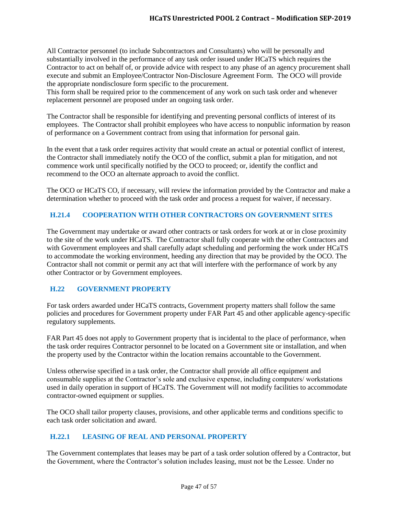All Contractor personnel (to include Subcontractors and Consultants) who will be personally and substantially involved in the performance of any task order issued under HCaTS which requires the Contractor to act on behalf of, or provide advice with respect to any phase of an agency procurement shall execute and submit an Employee/Contractor Non-Disclosure Agreement Form. The OCO will provide the appropriate nondisclosure form specific to the procurement.

This form shall be required prior to the commencement of any work on such task order and whenever replacement personnel are proposed under an ongoing task order.

The Contractor shall be responsible for identifying and preventing personal conflicts of interest of its employees. The Contractor shall prohibit employees who have access to nonpublic information by reason of performance on a Government contract from using that information for personal gain.

In the event that a task order requires activity that would create an actual or potential conflict of interest, the Contractor shall immediately notify the OCO of the conflict, submit a plan for mitigation, and not commence work until specifically notified by the OCO to proceed; or, identify the conflict and recommend to the OCO an alternate approach to avoid the conflict.

The OCO or HCaTS CO, if necessary, will review the information provided by the Contractor and make a determination whether to proceed with the task order and process a request for waiver, if necessary.

# <span id="page-46-0"></span>**H.21.4 COOPERATION WITH OTHER CONTRACTORS ON GOVERNMENT SITES**

The Government may undertake or award other contracts or task orders for work at or in close proximity to the site of the work under HCaTS. The Contractor shall fully cooperate with the other Contractors and with Government employees and shall carefully adapt scheduling and performing the work under HCaTS to accommodate the working environment, heeding any direction that may be provided by the OCO. The Contractor shall not commit or permit any act that will interfere with the performance of work by any other Contractor or by Government employees.

## <span id="page-46-1"></span>**H.22 GOVERNMENT PROPERTY**

For task orders awarded under HCaTS contracts, Government property matters shall follow the same policies and procedures for Government property under FAR Part 45 and other applicable agency-specific regulatory supplements.

FAR Part 45 does not apply to Government property that is incidental to the place of performance, when the task order requires Contractor personnel to be located on a Government site or installation, and when the property used by the Contractor within the location remains accountable to the Government.

Unless otherwise specified in a task order, the Contractor shall provide all office equipment and consumable supplies at the Contractor's sole and exclusive expense, including computers/ workstations used in daily operation in support of HCaTS. The Government will not modify facilities to accommodate contractor-owned equipment or supplies.

The OCO shall tailor property clauses, provisions, and other applicable terms and conditions specific to each task order solicitation and award.

# <span id="page-46-2"></span>**H.22.1 LEASING OF REAL AND PERSONAL PROPERTY**

The Government contemplates that leases may be part of a task order solution offered by a Contractor, but the Government, where the Contractor's solution includes leasing, must not be the Lessee. Under no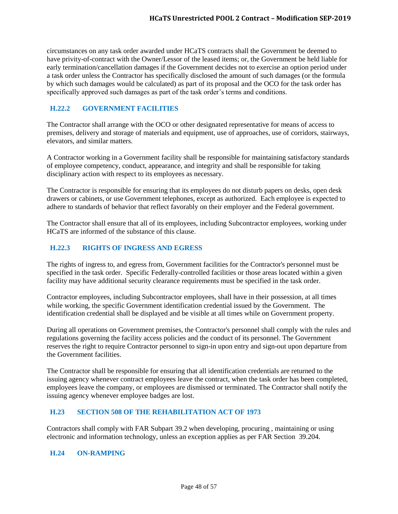circumstances on any task order awarded under HCaTS contracts shall the Government be deemed to have privity-of-contract with the Owner/Lessor of the leased items; or, the Government be held liable for early termination/cancellation damages if the Government decides not to exercise an option period under a task order unless the Contractor has specifically disclosed the amount of such damages (or the formula by which such damages would be calculated) as part of its proposal and the OCO for the task order has specifically approved such damages as part of the task order's terms and conditions.

# <span id="page-47-0"></span>**H.22.2 GOVERNMENT FACILITIES**

The Contractor shall arrange with the OCO or other designated representative for means of access to premises, delivery and storage of materials and equipment, use of approaches, use of corridors, stairways, elevators, and similar matters.

A Contractor working in a Government facility shall be responsible for maintaining satisfactory standards of employee competency, conduct, appearance, and integrity and shall be responsible for taking disciplinary action with respect to its employees as necessary.

The Contractor is responsible for ensuring that its employees do not disturb papers on desks, open desk drawers or cabinets, or use Government telephones, except as authorized. Each employee is expected to adhere to standards of behavior that reflect favorably on their employer and the Federal government.

The Contractor shall ensure that all of its employees, including Subcontractor employees, working under HCaTS are informed of the substance of this clause.

# <span id="page-47-1"></span>**H.22.3 RIGHTS OF INGRESS AND EGRESS**

The rights of ingress to, and egress from, Government facilities for the Contractor's personnel must be specified in the task order. Specific Federally-controlled facilities or those areas located within a given facility may have additional security clearance requirements must be specified in the task order.

Contractor employees, including Subcontractor employees, shall have in their possession, at all times while working, the specific Government identification credential issued by the Government. The identification credential shall be displayed and be visible at all times while on Government property.

During all operations on Government premises, the Contractor's personnel shall comply with the rules and regulations governing the facility access policies and the conduct of its personnel. The Government reserves the right to require Contractor personnel to sign-in upon entry and sign-out upon departure from the Government facilities.

The Contractor shall be responsible for ensuring that all identification credentials are returned to the issuing agency whenever contract employees leave the contract, when the task order has been completed, employees leave the company, or employees are dismissed or terminated. The Contractor shall notify the issuing agency whenever employee badges are lost.

## <span id="page-47-2"></span>**H.23 SECTION 508 OF THE REHABILITATION ACT OF 1973**

Contractors shall comply with FAR Subpart 39.2 when developing, procuring , maintaining or using electronic and information technology, unless an exception applies as per FAR Section 39.204.

## <span id="page-47-3"></span>**H.24 ON-RAMPING**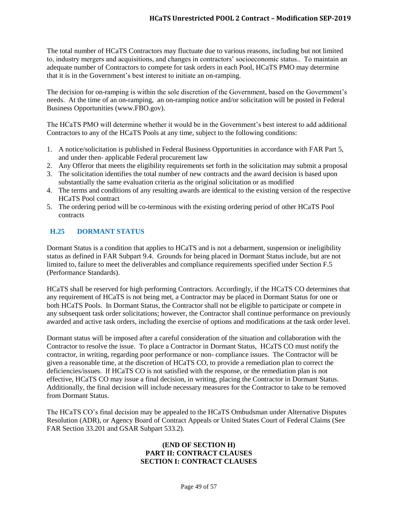The total number of HCaTS Contractors may fluctuate due to various reasons, including but not limited to, industry mergers and acquisitions, and changes in contractors' socioeconomic status.. To maintain an adequate number of Contractors to compete for task orders in each Pool, HCaTS PMO may determine that it is in the Government's best interest to initiate an on-ramping.

The decision for on-ramping is within the sole discretion of the Government, based on the Government's needs. At the time of an on-ramping, an on-ramping notice and/or solicitation will be posted in Federal Business Opportunities (www.FBO.gov).

The HCaTS PMO will determine whether it would be in the Government's best interest to add additional Contractors to any of the HCaTS Pools at any time, subject to the following conditions:

- 1. A notice/solicitation is published in Federal Business Opportunities in accordance with FAR Part 5, and under then- applicable Federal procurement law
- 2. Any Offeror that meets the eligibility requirements set forth in the solicitation may submit a proposal
- 3. The solicitation identifies the total number of new contracts and the award decision is based upon substantially the same evaluation criteria as the original solicitation or as modified
- 4. The terms and conditions of any resulting awards are identical to the existing version of the respective HCaTS Pool contract
- 5. The ordering period will be co-terminous with the existing ordering period of other HCaTS Pool contracts

# <span id="page-48-0"></span>**H.25 DORMANT STATUS**

Dormant Status is a condition that applies to HCaTS and is not a debarment, suspension or ineligibility status as defined in FAR Subpart 9.4. Grounds for being placed in Dormant Status include, but are not limited to, failure to meet the deliverables and compliance requirements specified under Section F.5 (Performance Standards).

HCaTS shall be reserved for high performing Contractors. Accordingly, if the HCaTS CO determines that any requirement of HCaTS is not being met, a Contractor may be placed in Dormant Status for one or both HCaTS Pools. In Dormant Status, the Contractor shall not be eligible to participate or compete in any subsequent task order solicitations; however, the Contractor shall continue performance on previously awarded and active task orders, including the exercise of options and modifications at the task order level.

Dormant status will be imposed after a careful consideration of the situation and collaboration with the Contractor to resolve the issue. To place a Contractor in Dormant Status, HCaTS CO must notify the contractor, in writing, regarding poor performance or non- compliance issues. The Contractor will be given a reasonable time, at the discretion of HCaTS CO, to provide a remediation plan to correct the deficiencies/issues. If HCaTS CO is not satisfied with the response, or the remediation plan is not effective, HCaTS CO may issue a final decision, in writing, placing the Contractor in Dormant Status. Additionally, the final decision will include necessary measures for the Contractor to take to be removed from Dormant Status.

The HCaTS CO's final decision may be appealed to the HCaTS Ombudsman under Alternative Disputes Resolution (ADR), or Agency Board of Contract Appeals or United States Court of Federal Claims (See FAR Section 33.201 and GSAR Subpart 533.2).

#### **(END OF SECTION H) PART II: CONTRACT CLAUSES SECTION I: CONTRACT CLAUSES**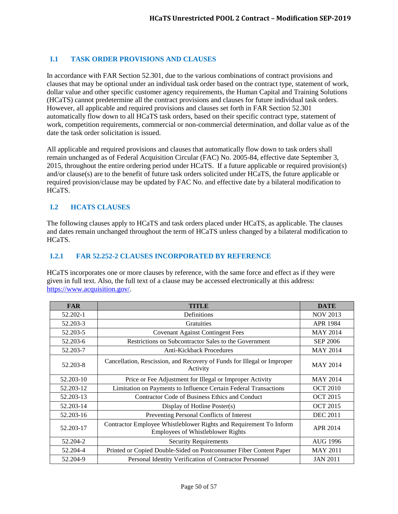# <span id="page-49-0"></span>**I.1 TASK ORDER PROVISIONS AND CLAUSES**

In accordance with FAR Section 52.301, due to the various combinations of contract provisions and clauses that may be optional under an individual task order based on the contract type, statement of work, dollar value and other specific customer agency requirements, the Human Capital and Training Solutions (HCaTS) cannot predetermine all the contract provisions and clauses for future individual task orders. However, all applicable and required provisions and clauses set forth in FAR Section 52.301 automatically flow down to all HCaTS task orders, based on their specific contract type, statement of work, competition requirements, commercial or non-commercial determination, and dollar value as of the date the task order solicitation is issued.

All applicable and required provisions and clauses that automatically flow down to task orders shall remain unchanged as of Federal Acquisition Circular (FAC) No. 2005-84, effective date September 3, 2015, throughout the entire ordering period under HCaTS. If a future applicable or required provision(s) and/or clause(s) are to the benefit of future task orders solicited under HCaTS, the future applicable or required provision/clause may be updated by FAC No. and effective date by a bilateral modification to HCaTS.

## <span id="page-49-1"></span>**I.2 HCATS CLAUSES**

The following clauses apply to HCaTS and task orders placed under HCaTS, as applicable. The clauses and dates remain unchanged throughout the term of HCaTS unless changed by a bilateral modification to HCaTS.

#### <span id="page-49-2"></span>**I.2.1 FAR 52.252-2 CLAUSES INCORPORATED BY REFERENCE**

HCaTS incorporates one or more clauses by reference, with the same force and effect as if they were given in full text. Also, the full text of a clause may be accessed electronically at this address: [https://www.acquisition.gov/.](https://www.acquisition.gov/)

| <b>FAR</b> | <b>TITLE</b>                                                                                                   | <b>DATE</b>     |
|------------|----------------------------------------------------------------------------------------------------------------|-----------------|
| 52.202-1   | Definitions                                                                                                    | <b>NOV 2013</b> |
| 52.203-3   | Gratuities                                                                                                     | <b>APR 1984</b> |
| 52.203-5   | <b>Covenant Against Contingent Fees</b>                                                                        | <b>MAY 2014</b> |
| 52.203-6   | Restrictions on Subcontractor Sales to the Government                                                          | <b>SEP 2006</b> |
| 52.203-7   | Anti-Kickback Procedures                                                                                       | <b>MAY 2014</b> |
| 52.203-8   | Cancellation, Rescission, and Recovery of Funds for Illegal or Improper<br>Activity                            | <b>MAY 2014</b> |
| 52.203-10  | Price or Fee Adjustment for Illegal or Improper Activity                                                       | <b>MAY 2014</b> |
| 52.203-12  | Limitation on Payments to Influence Certain Federal Transactions                                               | <b>OCT 2010</b> |
| 52.203-13  | Contractor Code of Business Ethics and Conduct                                                                 | <b>OCT 2015</b> |
| 52.203-14  | Display of Hotline Poster(s)                                                                                   | <b>OCT 2015</b> |
| 52.203-16  | Preventing Personal Conflicts of Interest                                                                      | <b>DEC 2011</b> |
| 52.203-17  | Contractor Employee Whistleblower Rights and Requirement To Inform<br><b>Employees of Whistleblower Rights</b> | APR 2014        |
| 52.204-2   | <b>Security Requirements</b>                                                                                   | AUG 1996        |
| 52.204-4   | Printed or Copied Double-Sided on Postconsumer Fiber Content Paper                                             | <b>MAY 2011</b> |
| 52.204-9   | Personal Identity Verification of Contractor Personnel                                                         | <b>JAN 2011</b> |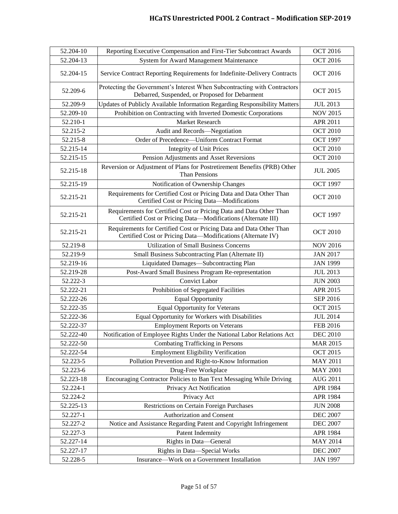| 52.204-10 | Reporting Executive Compensation and First-Tier Subcontract Awards                                                                  | <b>OCT 2016</b> |
|-----------|-------------------------------------------------------------------------------------------------------------------------------------|-----------------|
| 52.204-13 | System for Award Management Maintenance                                                                                             | <b>OCT 2016</b> |
| 52.204-15 | Service Contract Reporting Requirements for Indefinite-Delivery Contracts                                                           | <b>OCT 2016</b> |
| 52.209-6  | Protecting the Government's Interest When Subcontracting with Contractors<br>Debarred, Suspended, or Proposed for Debarment         | <b>OCT 2015</b> |
| 52.209-9  | Updates of Publicly Available Information Regarding Responsibility Matters                                                          | <b>JUL 2013</b> |
| 52.209-10 | Prohibition on Contracting with Inverted Domestic Corporations                                                                      | <b>NOV 2015</b> |
| 52.210-1  | Market Research                                                                                                                     | APR 2011        |
| 52.215-2  | Audit and Records-Negotiation                                                                                                       | <b>OCT 2010</b> |
| 52.215-8  | Order of Precedence-Uniform Contract Format                                                                                         | <b>OCT 1997</b> |
| 52.215-14 | <b>Integrity of Unit Prices</b>                                                                                                     | <b>OCT 2010</b> |
| 52.215-15 | Pension Adjustments and Asset Reversions                                                                                            | <b>OCT 2010</b> |
| 52.215-18 | Reversion or Adjustment of Plans for Postretirement Benefits (PRB) Other<br>Than Pensions                                           | <b>JUL 2005</b> |
| 52.215-19 | Notification of Ownership Changes                                                                                                   | <b>OCT 1997</b> |
| 52.215-21 | Requirements for Certified Cost or Pricing Data and Data Other Than<br>Certified Cost or Pricing Data-Modifications                 | <b>OCT 2010</b> |
| 52.215-21 | Requirements for Certified Cost or Pricing Data and Data Other Than<br>Certified Cost or Pricing Data-Modifications (Alternate III) | <b>OCT 1997</b> |
| 52.215-21 | Requirements for Certified Cost or Pricing Data and Data Other Than<br>Certified Cost or Pricing Data-Modifications (Alternate IV)  | <b>OCT 2010</b> |
| 52.219-8  | <b>Utilization of Small Business Concerns</b>                                                                                       | <b>NOV 2016</b> |
| 52.219-9  | Small Business Subcontracting Plan (Alternate II)                                                                                   | <b>JAN 2017</b> |
| 52.219-16 | Liquidated Damages-Subcontracting Plan                                                                                              | <b>JAN 1999</b> |
| 52.219-28 | Post-Award Small Business Program Re-representation                                                                                 | <b>JUL 2013</b> |
| 52.222-3  | <b>Convict Labor</b>                                                                                                                | <b>JUN 2003</b> |
| 52.222-21 | Prohibition of Segregated Facilities                                                                                                | APR 2015        |
| 52.222-26 | <b>Equal Opportunity</b>                                                                                                            | <b>SEP 2016</b> |
| 52.222-35 | <b>Equal Opportunity for Veterans</b>                                                                                               | <b>OCT 2015</b> |
| 52.222-36 | Equal Opportunity for Workers with Disabilities                                                                                     | <b>JUL 2014</b> |
| 52.222-37 | <b>Employment Reports on Veterans</b>                                                                                               | <b>FEB 2016</b> |
| 52.222-40 | Notification of Employee Rights Under the National Labor Relations Act                                                              | <b>DEC 2010</b> |
| 52.222-50 | Combating Trafficking in Persons                                                                                                    | <b>MAR 2015</b> |
| 52.222-54 | <b>Employment Eligibility Verification</b>                                                                                          | <b>OCT 2015</b> |
| 52.223-5  | Pollution Prevention and Right-to-Know Information                                                                                  | <b>MAY 2011</b> |
| 52.223-6  | Drug-Free Workplace                                                                                                                 | <b>MAY 2001</b> |
| 52.223-18 | Encouraging Contractor Policies to Ban Text Messaging While Driving                                                                 | <b>AUG 2011</b> |
| 52.224-1  | Privacy Act Notification                                                                                                            | APR 1984        |
| 52.224-2  | Privacy Act                                                                                                                         | APR 1984        |
| 52.225-13 | Restrictions on Certain Foreign Purchases                                                                                           | <b>JUN 2008</b> |
| 52.227-1  | Authorization and Consent                                                                                                           | <b>DEC 2007</b> |
| 52.227-2  | Notice and Assistance Regarding Patent and Copyright Infringement                                                                   | <b>DEC 2007</b> |
| 52.227-3  | Patent Indemnity                                                                                                                    | APR 1984        |
| 52.227-14 | Rights in Data-General                                                                                                              | <b>MAY 2014</b> |
| 52.227-17 | Rights in Data-Special Works                                                                                                        | <b>DEC 2007</b> |
| 52.228-5  | Insurance-Work on a Government Installation                                                                                         | <b>JAN 1997</b> |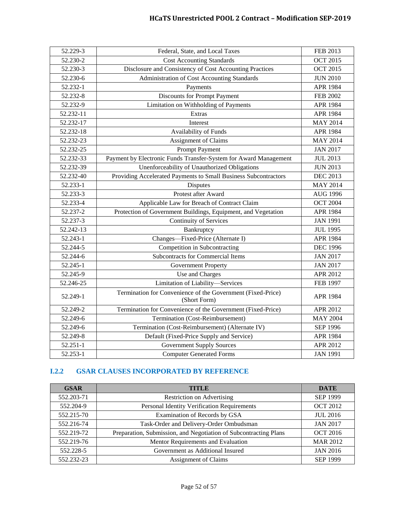| 52.229-3  | Federal, State, and Local Taxes                                             | FEB 2013        |
|-----------|-----------------------------------------------------------------------------|-----------------|
| 52.230-2  | <b>Cost Accounting Standards</b>                                            | <b>OCT 2015</b> |
| 52.230-3  | Disclosure and Consistency of Cost Accounting Practices                     | <b>OCT 2015</b> |
| 52.230-6  | Administration of Cost Accounting Standards                                 | <b>JUN 2010</b> |
| 52.232-1  | Payments                                                                    | <b>APR 1984</b> |
| 52.232-8  | <b>Discounts for Prompt Payment</b>                                         | <b>FEB 2002</b> |
| 52.232-9  | Limitation on Withholding of Payments                                       | <b>APR 1984</b> |
| 52.232-11 | Extras                                                                      | <b>APR 1984</b> |
| 52.232-17 | Interest                                                                    | <b>MAY 2014</b> |
| 52.232-18 | Availability of Funds                                                       | APR 1984        |
| 52.232-23 | Assignment of Claims                                                        | <b>MAY 2014</b> |
| 52.232-25 | <b>Prompt Payment</b>                                                       | <b>JAN 2017</b> |
| 52.232-33 | Payment by Electronic Funds Transfer-System for Award Management            | <b>JUL 2013</b> |
| 52.232-39 | Unenforceability of Unauthorized Obligations                                | <b>JUN 2013</b> |
| 52.232-40 | Providing Accelerated Payments to Small Business Subcontractors             | <b>DEC 2013</b> |
| 52.233-1  | Disputes                                                                    | <b>MAY 2014</b> |
| 52.233-3  | Protest after Award                                                         | <b>AUG 1996</b> |
| 52.233-4  | Applicable Law for Breach of Contract Claim                                 | <b>OCT 2004</b> |
| 52.237-2  | Protection of Government Buildings, Equipment, and Vegetation               | APR 1984        |
| 52.237-3  | <b>Continuity of Services</b>                                               | <b>JAN 1991</b> |
| 52.242-13 | Bankruptcy                                                                  | <b>JUL 1995</b> |
| 52.243-1  | Changes-Fixed-Price (Alternate I)                                           | <b>APR 1984</b> |
| 52.244-5  | Competition in Subcontracting                                               | <b>DEC 1996</b> |
| 52.244-6  | <b>Subcontracts for Commercial Items</b>                                    | <b>JAN 2017</b> |
| 52.245-1  | <b>Government Property</b>                                                  | <b>JAN 2017</b> |
| 52.245-9  | Use and Charges                                                             | <b>APR 2012</b> |
| 52.246-25 | Limitation of Liability-Services                                            | <b>FEB 1997</b> |
| 52.249-1  | Termination for Convenience of the Government (Fixed-Price)<br>(Short Form) | APR 1984        |
| 52.249-2  | Termination for Convenience of the Government (Fixed-Price)                 | APR 2012        |
| 52.249-6  | Termination (Cost-Reimbursement)                                            | <b>MAY 2004</b> |
| 52.249-6  | Termination (Cost-Reimbursement) (Alternate IV)                             | <b>SEP 1996</b> |
| 52.249-8  | Default (Fixed-Price Supply and Service)                                    | <b>APR 1984</b> |
| 52.251-1  | <b>Government Supply Sources</b>                                            | APR 2012        |
| 52.253-1  | <b>Computer Generated Forms</b>                                             | <b>JAN 1991</b> |

# <span id="page-51-0"></span>**I.2.2 GSAR CLAUSES INCORPORATED BY REFERENCE**

| <b>GSAR</b> | <b>TITLE</b>                                                     | <b>DATE</b>     |
|-------------|------------------------------------------------------------------|-----------------|
| 552.203-71  | Restriction on Advertising                                       | <b>SEP 1999</b> |
| 552.204-9   | Personal Identity Verification Requirements                      | <b>OCT 2012</b> |
| 552.215-70  | Examination of Records by GSA                                    | <b>JUL 2016</b> |
| 552.216-74  | Task-Order and Delivery-Order Ombudsman                          | <b>JAN 2017</b> |
| 552.219-72  | Preparation, Submission, and Negotiation of Subcontracting Plans | <b>OCT 2016</b> |
| 552.219-76  | Mentor Requirements and Evaluation                               | <b>MAR 2012</b> |
| 552.228-5   | Government as Additional Insured                                 | <b>JAN 2016</b> |
| 552.232-23  | <b>Assignment of Claims</b>                                      | <b>SEP 1999</b> |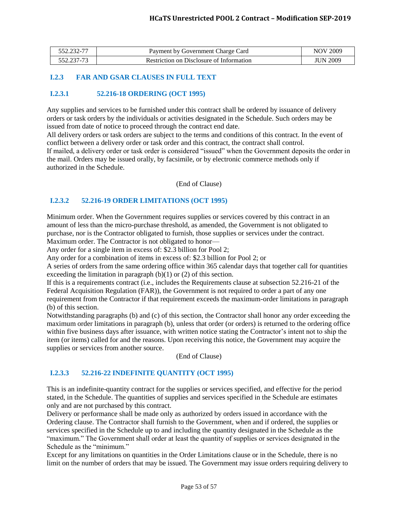| 552.232-1 | Payment by Government Charge Card        | 2009<br>NOV     |
|-----------|------------------------------------------|-----------------|
|           | Restriction on Disclosure of Information | <b>JUN 2009</b> |

### <span id="page-52-0"></span>**I.2.3 FAR AND GSAR CLAUSES IN FULL TEXT**

#### <span id="page-52-1"></span>**I.2.3.1 52.216-18 ORDERING (OCT 1995)**

Any supplies and services to be furnished under this contract shall be ordered by issuance of delivery orders or task orders by the individuals or activities designated in the Schedule. Such orders may be issued from date of notice to proceed through the contract end date.

All delivery orders or task orders are subject to the terms and conditions of this contract. In the event of conflict between a delivery order or task order and this contract, the contract shall control. If mailed, a delivery order or task order is considered "issued" when the Government deposits the order in the mail. Orders may be issued orally, by facsimile, or by electronic commerce methods only if authorized in the Schedule.

(End of Clause)

#### <span id="page-52-2"></span>**I.2.3.2 52.216-19 ORDER LIMITATIONS (OCT 1995)**

Minimum order. When the Government requires supplies or services covered by this contract in an amount of less than the micro-purchase threshold, as amended, the Government is not obligated to purchase, nor is the Contractor obligated to furnish, those supplies or services under the contract. Maximum order. The Contractor is not obligated to honor—

Any order for a single item in excess of: \$2.3 billion for Pool 2;

Any order for a combination of items in excess of: \$2.3 billion for Pool 2; or

A series of orders from the same ordering office within 365 calendar days that together call for quantities exceeding the limitation in paragraph  $(b)(1)$  or  $(2)$  of this section.

If this is a requirements contract (i.e., includes the Requirements clause at subsection 52.216-21 of the Federal Acquisition Regulation (FAR)), the Government is not required to order a part of any one requirement from the Contractor if that requirement exceeds the maximum-order limitations in paragraph (b) of this section.

Notwithstanding paragraphs (b) and (c) of this section, the Contractor shall honor any order exceeding the maximum order limitations in paragraph (b), unless that order (or orders) is returned to the ordering office within five business days after issuance, with written notice stating the Contractor's intent not to ship the item (or items) called for and the reasons. Upon receiving this notice, the Government may acquire the supplies or services from another source.

(End of Clause)

## <span id="page-52-3"></span>**I.2.3.3 52.216-22 INDEFINITE QUANTITY (OCT 1995)**

This is an indefinite-quantity contract for the supplies or services specified, and effective for the period stated, in the Schedule. The quantities of supplies and services specified in the Schedule are estimates only and are not purchased by this contract.

Delivery or performance shall be made only as authorized by orders issued in accordance with the Ordering clause. The Contractor shall furnish to the Government, when and if ordered, the supplies or services specified in the Schedule up to and including the quantity designated in the Schedule as the "maximum." The Government shall order at least the quantity of supplies or services designated in the Schedule as the "minimum."

Except for any limitations on quantities in the Order Limitations clause or in the Schedule, there is no limit on the number of orders that may be issued. The Government may issue orders requiring delivery to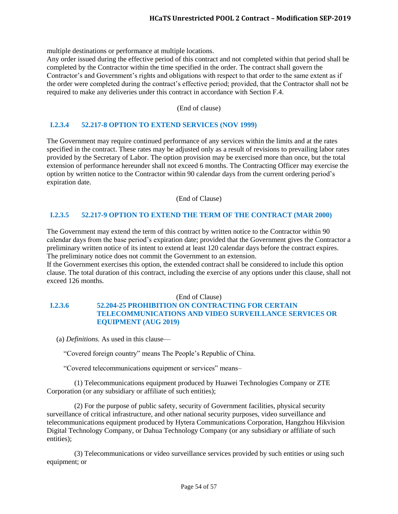multiple destinations or performance at multiple locations.

Any order issued during the effective period of this contract and not completed within that period shall be completed by the Contractor within the time specified in the order. The contract shall govern the Contractor's and Government's rights and obligations with respect to that order to the same extent as if the order were completed during the contract's effective period; provided, that the Contractor shall not be required to make any deliveries under this contract in accordance with Section F.4.

#### (End of clause)

#### <span id="page-53-0"></span>**I.2.3.4 52.217-8 OPTION TO EXTEND SERVICES (NOV 1999)**

The Government may require continued performance of any services within the limits and at the rates specified in the contract. These rates may be adjusted only as a result of revisions to prevailing labor rates provided by the Secretary of Labor. The option provision may be exercised more than once, but the total extension of performance hereunder shall not exceed 6 months. The Contracting Officer may exercise the option by written notice to the Contractor within 90 calendar days from the current ordering period's expiration date.

(End of Clause)

#### <span id="page-53-1"></span>**I.2.3.5 52.217-9 OPTION TO EXTEND THE TERM OF THE CONTRACT (MAR 2000)**

The Government may extend the term of this contract by written notice to the Contractor within 90 calendar days from the base period's expiration date; provided that the Government gives the Contractor a preliminary written notice of its intent to extend at least 120 calendar days before the contract expires. The preliminary notice does not commit the Government to an extension.

If the Government exercises this option, the extended contract shall be considered to include this option clause. The total duration of this contract, including the exercise of any options under this clause, shall not exceed 126 months.

#### (End of Clause)

# <span id="page-53-2"></span>**I.2.3.6 52.204-25 PROHIBITION ON CONTRACTING FOR CERTAIN TELECOMMUNICATIONS AND VIDEO SURVEILLANCE SERVICES OR EQUIPMENT (AUG 2019)**

(a) *Definitions.* As used in this clause—

"Covered foreign country" means The People's Republic of China.

"Covered telecommunications equipment or services" means–

(1) Telecommunications equipment produced by Huawei Technologies Company or ZTE Corporation (or any subsidiary or affiliate of such entities);

(2) For the purpose of public safety, security of Government facilities, physical security surveillance of critical infrastructure, and other national security purposes, video surveillance and telecommunications equipment produced by Hytera Communications Corporation, Hangzhou Hikvision Digital Technology Company, or Dahua Technology Company (or any subsidiary or affiliate of such entities);

(3) Telecommunications or video surveillance services provided by such entities or using such equipment; or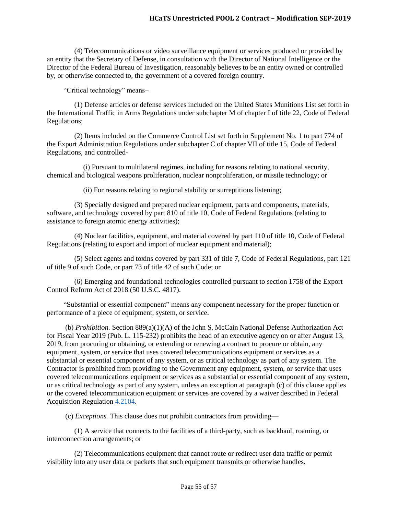(4) Telecommunications or video surveillance equipment or services produced or provided by an entity that the Secretary of Defense, in consultation with the Director of National Intelligence or the Director of the Federal Bureau of Investigation, reasonably believes to be an entity owned or controlled by, or otherwise connected to, the government of a covered foreign country.

"Critical technology" means–

(1) Defense articles or defense services included on the United States Munitions List set forth in the International Traffic in Arms Regulations under subchapter M of chapter I of title 22, Code of Federal Regulations;

(2) Items included on the Commerce Control List set forth in Supplement No. 1 to part 774 of the Export Administration Regulations under subchapter C of chapter VII of title 15, Code of Federal Regulations, and controlled-

(i) Pursuant to multilateral regimes, including for reasons relating to national security, chemical and biological weapons proliferation, nuclear nonproliferation, or missile technology; or

(ii) For reasons relating to regional stability or surreptitious listening;

(3) Specially designed and prepared nuclear equipment, parts and components, materials, software, and technology covered by part 810 of title 10, Code of Federal Regulations (relating to assistance to foreign atomic energy activities);

(4) Nuclear facilities, equipment, and material covered by part 110 of title 10, Code of Federal Regulations (relating to export and import of nuclear equipment and material);

(5) Select agents and toxins covered by part 331 of title 7, Code of Federal Regulations, part 121 of title 9 of such Code, or part 73 of title 42 of such Code; or

(6) Emerging and foundational technologies controlled pursuant to section 1758 of the Export Control Reform Act of 2018 (50 U.S.C. 4817).

"Substantial or essential component" means any component necessary for the proper function or performance of a piece of equipment, system, or service.

(b) *Prohibition.* Section 889(a)(1)(A) of the John S. McCain National Defense Authorization Act for Fiscal Year 2019 (Pub. L. 115-232) prohibits the head of an executive agency on or after August 13, 2019, from procuring or obtaining, or extending or renewing a contract to procure or obtain, any equipment, system, or service that uses covered telecommunications equipment or services as a substantial or essential component of any system, or as critical technology as part of any system. The Contractor is prohibited from providing to the Government any equipment, system, or service that uses covered telecommunications equipment or services as a substantial or essential component of any system, or as critical technology as part of any system, unless an exception at paragraph (c) of this clause applies or the covered telecommunication equipment or services are covered by a waiver described in Federal Acquisition Regulation [4.2104.](https://www.acquisition.gov/content/part-4-administrative-matters#id1989GI040ZO)

(c) *Exceptions.* This clause does not prohibit contractors from providing—

(1) A service that connects to the facilities of a third-party, such as backhaul, roaming, or interconnection arrangements; or

(2) Telecommunications equipment that cannot route or redirect user data traffic or permit visibility into any user data or packets that such equipment transmits or otherwise handles.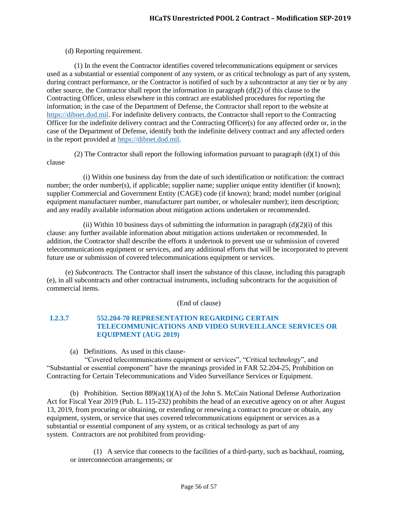#### (d) Reporting requirement.

(1) In the event the Contractor identifies covered telecommunications equipment or services used as a substantial or essential component of any system, or as critical technology as part of any system, during contract performance, or the Contractor is notified of such by a subcontractor at any tier or by any other source, the Contractor shall report the information in paragraph  $(d)(2)$  of this clause to the Contracting Officer, unless elsewhere in this contract are established procedures for reporting the information; in the case of the Department of Defense, the Contractor shall report to the website at [https://dibnet.dod.mil.](https://dibnet.dod.mil/) For indefinite delivery contracts, the Contractor shall report to the Contracting Officer for the indefinite delivery contract and the Contracting Officer(s) for any affected order or, in the case of the Department of Defense, identify both the indefinite delivery contract and any affected orders in the report provided at [https://dibnet.dod.mil.](https://dibnet.dod.mil/)

(2) The Contractor shall report the following information pursuant to paragraph  $(d)(1)$  of this clause

(i) Within one business day from the date of such identification or notification: the contract number; the order number(s), if applicable; supplier name; supplier unique entity identifier (if known); supplier Commercial and Government Entity (CAGE) code (if known); brand; model number (original equipment manufacturer number, manufacturer part number, or wholesaler number); item description; and any readily available information about mitigation actions undertaken or recommended.

(ii) Within 10 business days of submitting the information in paragraph  $(d)(2)(i)$  of this clause: any further available information about mitigation actions undertaken or recommended. In addition, the Contractor shall describe the efforts it undertook to prevent use or submission of covered telecommunications equipment or services, and any additional efforts that will be incorporated to prevent future use or submission of covered telecommunications equipment or services.

(e) *Subcontracts.* The Contractor shall insert the substance of this clause, including this paragraph (e), in all subcontracts and other contractual instruments, including subcontracts for the acquisition of commercial items.

(End of clause)

### <span id="page-55-0"></span>**I.2.3.7 552.204-70 REPRESENTATION REGARDING CERTAIN TELECOMMUNICATIONS AND VIDEO SURVEILLANCE SERVICES OR EQUIPMENT (AUG 2019)**

(a) Definitions. As used in this clause-

"Covered telecommunications equipment or services", "Critical technology", and "Substantial or essential component" have the meanings provided in FAR 52.204-25, Prohibition on Contracting for Certain Telecommunications and Video Surveillance Services or Equipment.

(b) Prohibition. Section  $889(a)(1)(A)$  of the John S. McCain National Defense Authorization Act for Fiscal Year 2019 (Pub. L. 115-232) prohibits the head of an executive agency on or after August 13, 2019, from procuring or obtaining, or extending or renewing a contract to procure or obtain, any equipment, system, or service that uses covered telecommunications equipment or services as a substantial or essential component of any system, or as critical technology as part of any system. Contractors are not prohibited from providing-

(1) A service that connects to the facilities of a third-party, such as backhaul, roaming, or interconnection arrangements; or